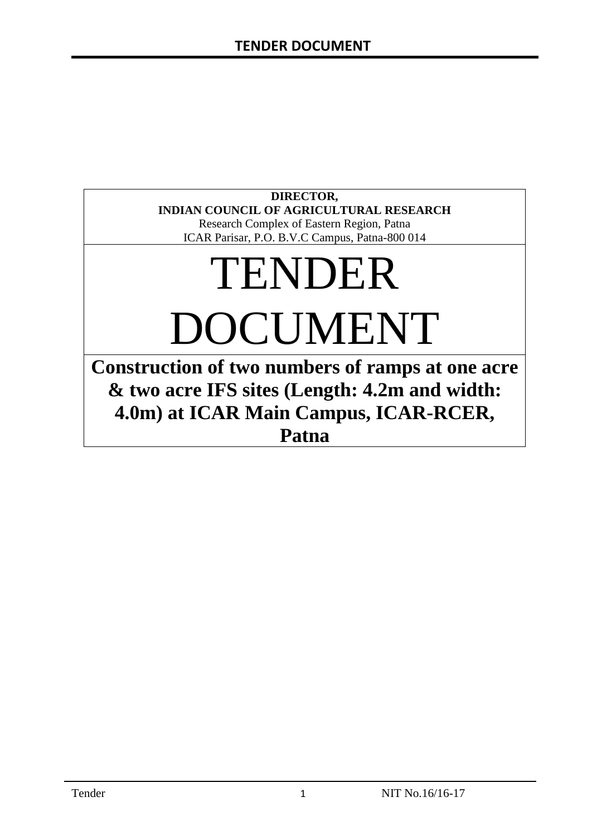# **DIRECTOR, INDIAN COUNCIL OF AGRICULTURAL RESEARCH**

Research Complex of Eastern Region, Patna ICAR Parisar, P.O. B.V.C Campus, Patna-800 014

# TENDER DOCUMENT

**Construction of two numbers of ramps at one acre & two acre IFS sites (Length: 4.2m and width: 4.0m) at ICAR Main Campus, ICAR-RCER, Patna**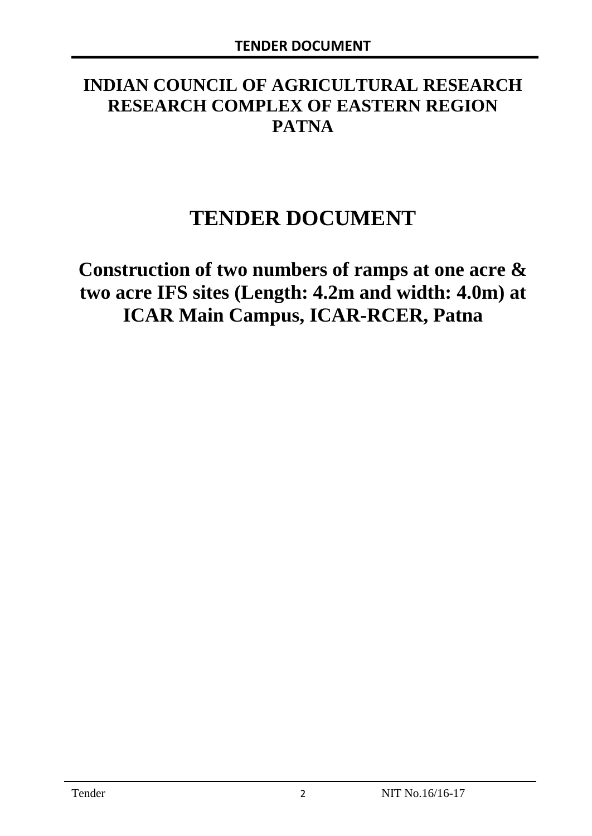# **INDIAN COUNCIL OF AGRICULTURAL RESEARCH RESEARCH COMPLEX OF EASTERN REGION PATNA**

# **TENDER DOCUMENT**

**Construction of two numbers of ramps at one acre & two acre IFS sites (Length: 4.2m and width: 4.0m) at ICAR Main Campus, ICAR-RCER, Patna**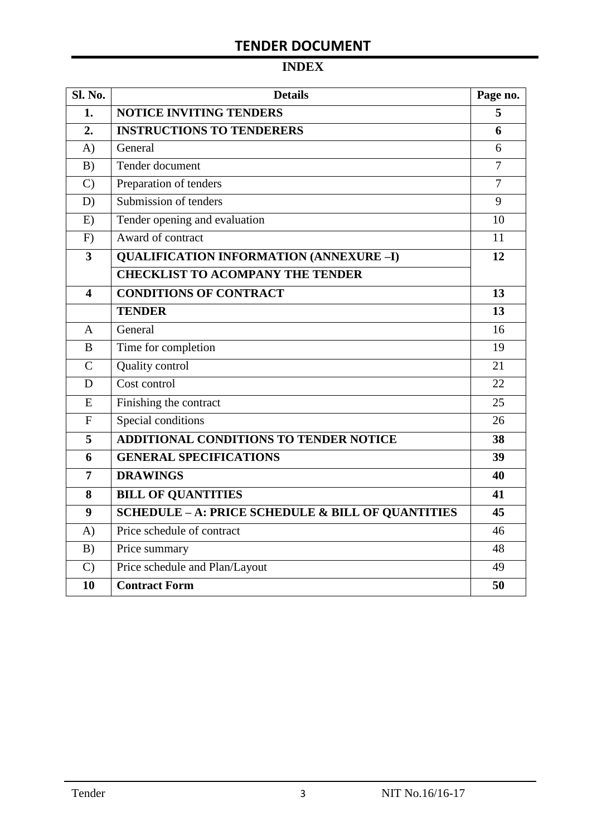# **INDEX**

| Sl. No.                 | <b>Details</b>                                    | Page no.       |
|-------------------------|---------------------------------------------------|----------------|
| 1.                      | <b>NOTICE INVITING TENDERS</b>                    |                |
| 2.                      | <b>INSTRUCTIONS TO TENDERERS</b>                  | 6              |
| A)                      | General                                           | 6              |
| B)                      | Tender document                                   | 7              |
| $\mathcal{C}$           | Preparation of tenders                            | $\overline{7}$ |
| D)                      | Submission of tenders                             | 9              |
| E)                      | Tender opening and evaluation                     | 10             |
| F)                      | Award of contract                                 | 11             |
| $\overline{\mathbf{3}}$ | <b>QUALIFICATION INFORMATION (ANNEXURE-I)</b>     | 12             |
|                         | <b>CHECKLIST TO ACOMPANY THE TENDER</b>           |                |
| 4                       | <b>CONDITIONS OF CONTRACT</b>                     | 13             |
|                         | <b>TENDER</b>                                     | 13             |
| $\overline{A}$          | General                                           | 16             |
| B                       | Time for completion                               | 19             |
| $\overline{C}$          | Quality control                                   | 21             |
| D                       | Cost control                                      | 22             |
| E                       | Finishing the contract                            | 25             |
| $\mathbf{F}$            | Special conditions                                | 26             |
| 5                       | <b>ADDITIONAL CONDITIONS TO TENDER NOTICE</b>     | 38             |
| 6                       | <b>GENERAL SPECIFICATIONS</b>                     | 39             |
| $\overline{7}$          | <b>DRAWINGS</b>                                   | 40             |
| 8                       | <b>BILL OF QUANTITIES</b>                         | 41             |
| 9                       | SCHEDULE - A: PRICE SCHEDULE & BILL OF QUANTITIES | 45             |
| A)                      | Price schedule of contract                        | 46             |
| B)                      | Price summary                                     | 48             |
| $\mathcal{C}$           | Price schedule and Plan/Layout                    | 49             |
| 10                      | <b>Contract Form</b>                              | 50             |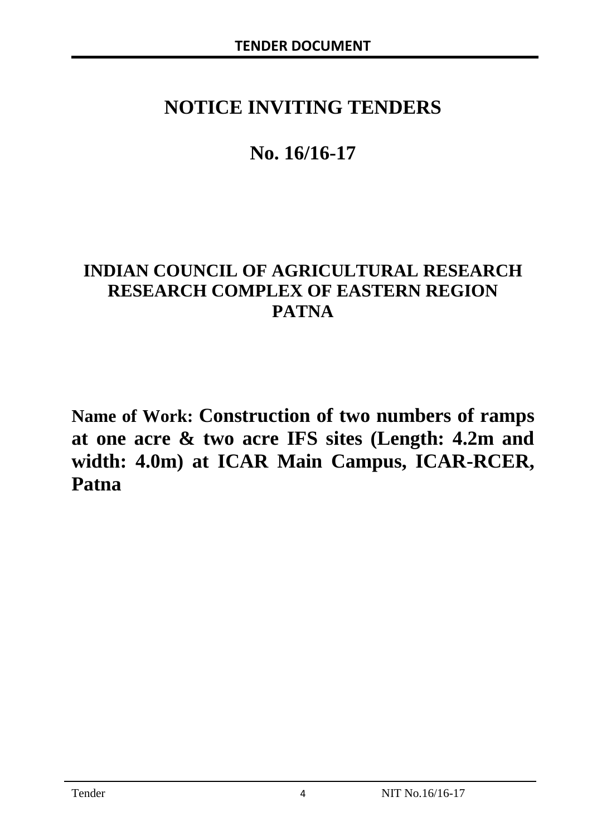# **NOTICE INVITING TENDERS**

# **No. 16/16-17**

# **INDIAN COUNCIL OF AGRICULTURAL RESEARCH RESEARCH COMPLEX OF EASTERN REGION PATNA**

**Name of Work: Construction of two numbers of ramps at one acre & two acre IFS sites (Length: 4.2m and width: 4.0m) at ICAR Main Campus, ICAR-RCER, Patna**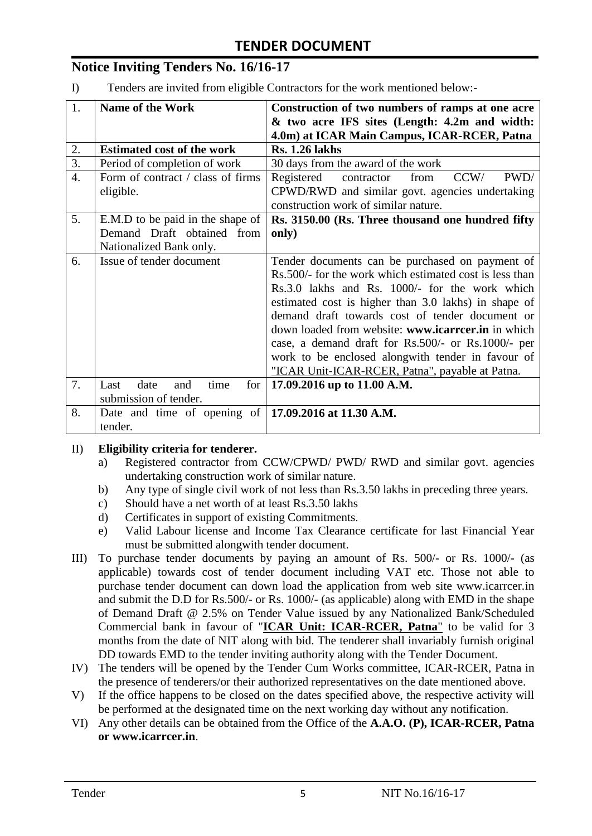# **Notice Inviting Tenders No. 16/16-17**

I) Tenders are invited from eligible Contractors for the work mentioned below:-

| 1.               | <b>Name of the Work</b>                                | Construction of two numbers of ramps at one acre         |  |  |
|------------------|--------------------------------------------------------|----------------------------------------------------------|--|--|
|                  |                                                        | & two acre IFS sites (Length: 4.2m and width:            |  |  |
|                  |                                                        | 4.0m) at ICAR Main Campus, ICAR-RCER, Patna              |  |  |
| 2.               | <b>Estimated cost of the work</b>                      | <b>Rs. 1.26 lakhs</b>                                    |  |  |
| $\overline{3}$ . | Period of completion of work                           | 30 days from the award of the work                       |  |  |
| $\overline{4}$ . | Form of contract / class of firms                      | Registered<br>contractor<br>CCW/<br>PWD/<br>from         |  |  |
|                  | eligible.                                              | CPWD/RWD and similar govt. agencies undertaking          |  |  |
|                  |                                                        | construction work of similar nature.                     |  |  |
| 5.               | E.M.D to be paid in the shape of                       | Rs. 3150.00 (Rs. Three thousand one hundred fifty        |  |  |
|                  | Demand Draft obtained from                             | only)                                                    |  |  |
|                  | Nationalized Bank only.                                |                                                          |  |  |
| 6.               | Issue of tender document                               | Tender documents can be purchased on payment of          |  |  |
|                  |                                                        | Rs. 500/- for the work which estimated cost is less than |  |  |
|                  |                                                        | Rs.3.0 lakhs and Rs. 1000/- for the work which           |  |  |
|                  |                                                        | estimated cost is higher than 3.0 lakhs) in shape of     |  |  |
|                  |                                                        | demand draft towards cost of tender document or          |  |  |
|                  |                                                        | down loaded from website: www.icarreer.in in which       |  |  |
|                  |                                                        | case, a demand draft for Rs.500/- or Rs.1000/- per       |  |  |
|                  |                                                        | work to be enclosed alongwith tender in favour of        |  |  |
|                  |                                                        | "ICAR Unit-ICAR-RCER, Patna", payable at Patna.          |  |  |
| 7.               | date<br>for<br>Last<br>time<br>and                     | 17.09.2016 up to 11.00 A.M.                              |  |  |
|                  | submission of tender.                                  |                                                          |  |  |
| 8.               | Date and time of opening of   17.09.2016 at 11.30 A.M. |                                                          |  |  |
|                  | tender.                                                |                                                          |  |  |

#### II) **Eligibility criteria for tenderer.**

- a) Registered contractor from CCW/CPWD/ PWD/ RWD and similar govt. agencies undertaking construction work of similar nature.
- b) Any type of single civil work of not less than Rs.3.50 lakhs in preceding three years.
- c) Should have a net worth of at least Rs.3.50 lakhs
- d) Certificates in support of existing Commitments.
- e) Valid Labour license and Income Tax Clearance certificate for last Financial Year must be submitted alongwith tender document.
- III) To purchase tender documents by paying an amount of Rs. 500/- or Rs. 1000/- (as applicable) towards cost of tender document including VAT etc. Those not able to purchase tender document can down load the application from web site www.icarrcer.in and submit the D.D for Rs.500/- or Rs. 1000/- (as applicable) along with EMD in the shape of Demand Draft @ 2.5% on Tender Value issued by any Nationalized Bank/Scheduled Commercial bank in favour of "**ICAR Unit: ICAR-RCER, Patna**" to be valid for 3 months from the date of NIT along with bid. The tenderer shall invariably furnish original DD towards EMD to the tender inviting authority along with the Tender Document.
- IV) The tenders will be opened by the Tender Cum Works committee, ICAR-RCER, Patna in the presence of tenderers/or their authorized representatives on the date mentioned above.
- V) If the office happens to be closed on the dates specified above, the respective activity will be performed at the designated time on the next working day without any notification.
- VI) Any other details can be obtained from the Office of the **A.A.O. (P), ICAR-RCER, Patna or www.icarrcer.in**.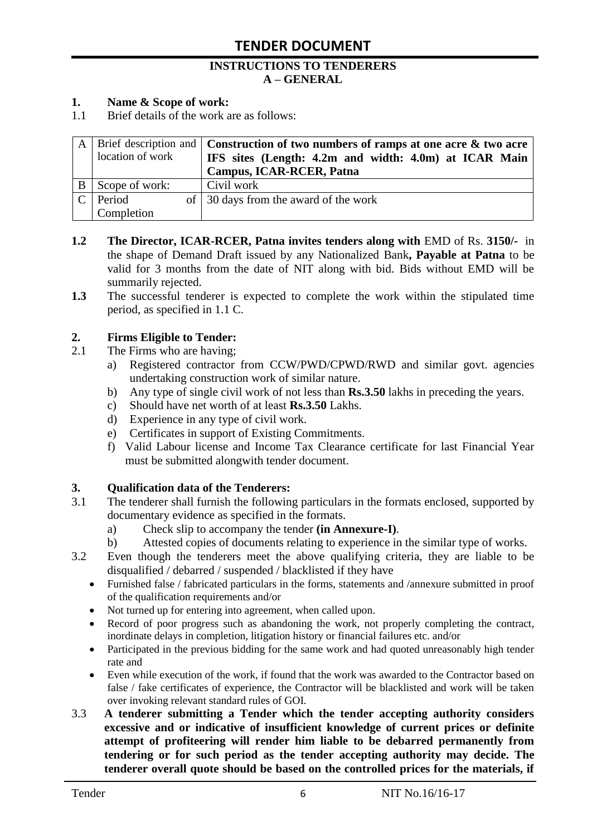#### **INSTRUCTIONS TO TENDERERS A – GENERAL**

#### **1. Name & Scope of work:**

1.1 Brief details of the work are as follows:

|                  | A   Brief description and   Construction of two numbers of ramps at one acre $\&$ two acre |
|------------------|--------------------------------------------------------------------------------------------|
| location of work | IFS sites (Length: 4.2m and width: 4.0m) at ICAR Main                                      |
|                  | <b>Campus, ICAR-RCER, Patna</b>                                                            |
| B Scope of work: | Civil work                                                                                 |
| Period           | of 30 days from the award of the work                                                      |
| Completion       |                                                                                            |

- **1.2** The Director, ICAR-RCER, Patna invites tenders along with EMD of Rs. 3150/- in the shape of Demand Draft issued by any Nationalized Bank**, Payable at Patna** to be valid for 3 months from the date of NIT along with bid. Bids without EMD will be summarily rejected.
- **1.3** The successful tenderer is expected to complete the work within the stipulated time period, as specified in 1.1 C.

#### **2. Firms Eligible to Tender:**

- 2.1 The Firms who are having;
	- a) Registered contractor from CCW/PWD/CPWD/RWD and similar govt. agencies undertaking construction work of similar nature.
	- b) Any type of single civil work of not less than **Rs.3.50** lakhs in preceding the years.
	- c) Should have net worth of at least **Rs.3.50** Lakhs.
	- d) Experience in any type of civil work.
	- e) Certificates in support of Existing Commitments.
	- f) Valid Labour license and Income Tax Clearance certificate for last Financial Year must be submitted alongwith tender document.

#### **3. Qualification data of the Tenderers:**

- 3.1 The tenderer shall furnish the following particulars in the formats enclosed, supported by documentary evidence as specified in the formats.
	- a) Check slip to accompany the tender **(in Annexure-I)**.
	- b) Attested copies of documents relating to experience in the similar type of works.
- 3.2 Even though the tenderers meet the above qualifying criteria, they are liable to be disqualified / debarred / suspended / blacklisted if they have
	- Furnished false / fabricated particulars in the forms, statements and /annexure submitted in proof of the qualification requirements and/or
	- Not turned up for entering into agreement, when called upon.
	- Record of poor progress such as abandoning the work, not properly completing the contract, inordinate delays in completion, litigation history or financial failures etc. and/or
	- Participated in the previous bidding for the same work and had quoted unreasonably high tender rate and
	- Even while execution of the work, if found that the work was awarded to the Contractor based on false / fake certificates of experience, the Contractor will be blacklisted and work will be taken over invoking relevant standard rules of GOI.
- 3.3 **A tenderer submitting a Tender which the tender accepting authority considers excessive and or indicative of insufficient knowledge of current prices or definite attempt of profiteering will render him liable to be debarred permanently from tendering or for such period as the tender accepting authority may decide. The tenderer overall quote should be based on the controlled prices for the materials, if**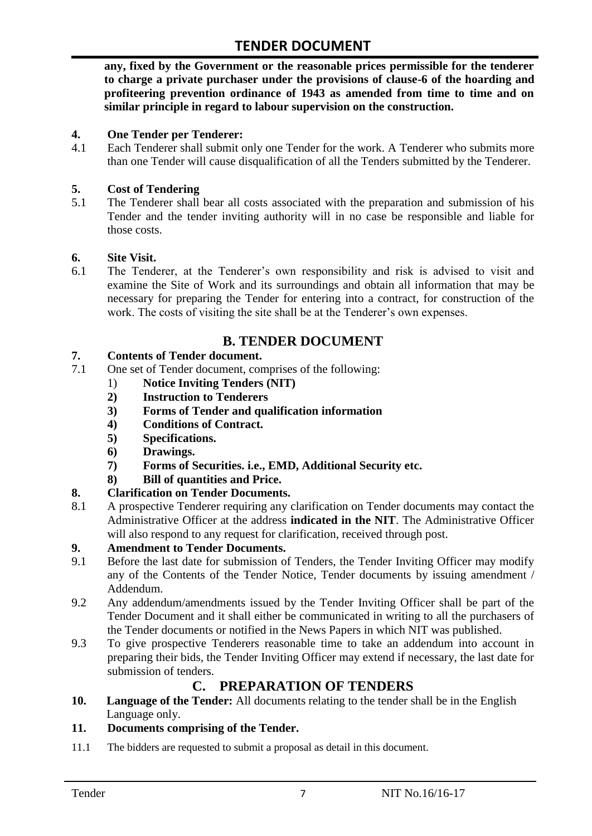**any, fixed by the Government or the reasonable prices permissible for the tenderer to charge a private purchaser under the provisions of clause-6 of the hoarding and profiteering prevention ordinance of 1943 as amended from time to time and on similar principle in regard to labour supervision on the construction.**

#### **4. One Tender per Tenderer:**

4.1 Each Tenderer shall submit only one Tender for the work. A Tenderer who submits more than one Tender will cause disqualification of all the Tenders submitted by the Tenderer.

#### **5. Cost of Tendering**

5.1 The Tenderer shall bear all costs associated with the preparation and submission of his Tender and the tender inviting authority will in no case be responsible and liable for those costs.

#### **6. Site Visit.**

6.1 The Tenderer, at the Tenderer"s own responsibility and risk is advised to visit and examine the Site of Work and its surroundings and obtain all information that may be necessary for preparing the Tender for entering into a contract, for construction of the work. The costs of visiting the site shall be at the Tenderer's own expenses.

# **B. TENDER DOCUMENT**

#### **7. Contents of Tender document.**

- 7.1 One set of Tender document, comprises of the following:
	- 1) **Notice Inviting Tenders (NIT)**
	- **2) Instruction to Tenderers**
	- **3) Forms of Tender and qualification information**
	- **4) Conditions of Contract.**
	- **5) Specifications.**
	- **6) Drawings.**
	- **7) Forms of Securities. i.e., EMD, Additional Security etc.**
	- **8) Bill of quantities and Price.**

### **8. Clarification on Tender Documents.**

8.1 A prospective Tenderer requiring any clarification on Tender documents may contact the Administrative Officer at the address **indicated in the NIT**. The Administrative Officer will also respond to any request for clarification, received through post.

#### **9. Amendment to Tender Documents.**

- 9.1 Before the last date for submission of Tenders, the Tender Inviting Officer may modify any of the Contents of the Tender Notice, Tender documents by issuing amendment / Addendum.
- 9.2 Any addendum/amendments issued by the Tender Inviting Officer shall be part of the Tender Document and it shall either be communicated in writing to all the purchasers of the Tender documents or notified in the News Papers in which NIT was published.
- 9.3 To give prospective Tenderers reasonable time to take an addendum into account in preparing their bids, the Tender Inviting Officer may extend if necessary, the last date for submission of tenders.

# **C. PREPARATION OF TENDERS**

**10. Language of the Tender:** All documents relating to the tender shall be in the English Language only.

#### **11. Documents comprising of the Tender.**

11.1 The bidders are requested to submit a proposal as detail in this document.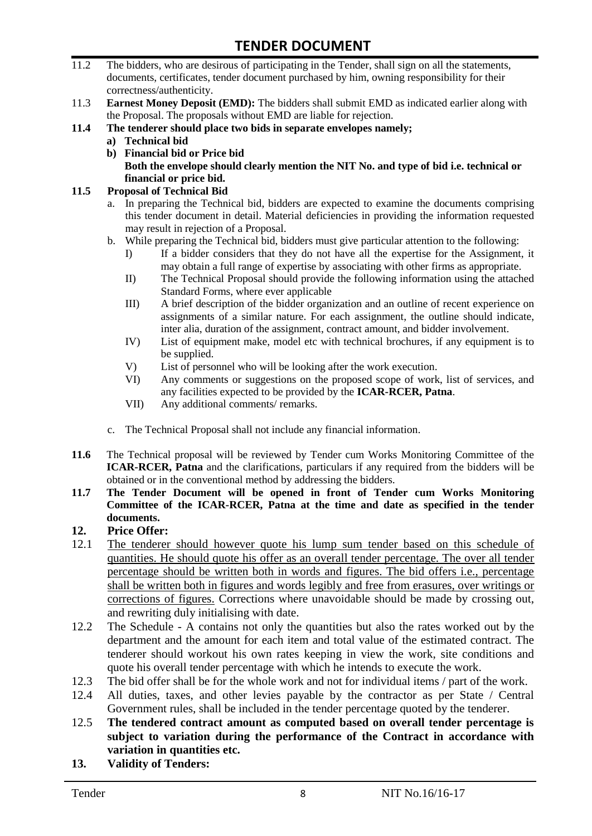- 11.2 The bidders, who are desirous of participating in the Tender, shall sign on all the statements, documents, certificates, tender document purchased by him, owning responsibility for their correctness/authenticity.
- 11.3 **Earnest Money Deposit (EMD):** The bidders shall submit EMD as indicated earlier along with the Proposal. The proposals without EMD are liable for rejection.
- **11.4 The tenderer should place two bids in separate envelopes namely;**
	- **a) Technical bid**
	- **b) Financial bid or Price bid Both the envelope should clearly mention the NIT No. and type of bid i.e. technical or financial or price bid.**

#### **11.5 Proposal of Technical Bid**

- a. In preparing the Technical bid, bidders are expected to examine the documents comprising this tender document in detail. Material deficiencies in providing the information requested may result in rejection of a Proposal.
- b. While preparing the Technical bid, bidders must give particular attention to the following:
	- I) If a bidder considers that they do not have all the expertise for the Assignment, it may obtain a full range of expertise by associating with other firms as appropriate.
	- II) The Technical Proposal should provide the following information using the attached Standard Forms, where ever applicable
	- III) A brief description of the bidder organization and an outline of recent experience on assignments of a similar nature. For each assignment, the outline should indicate, inter alia, duration of the assignment, contract amount, and bidder involvement.
	- IV) List of equipment make, model etc with technical brochures, if any equipment is to be supplied.
	- V) List of personnel who will be looking after the work execution.
	- VI) Any comments or suggestions on the proposed scope of work, list of services, and any facilities expected to be provided by the **ICAR-RCER, Patna**.
	- VII) Any additional comments/ remarks.
- c. The Technical Proposal shall not include any financial information.
- **11.6** The Technical proposal will be reviewed by Tender cum Works Monitoring Committee of the **ICAR-RCER, Patna** and the clarifications, particulars if any required from the bidders will be obtained or in the conventional method by addressing the bidders.
- **11.7 The Tender Document will be opened in front of Tender cum Works Monitoring Committee of the ICAR-RCER, Patna at the time and date as specified in the tender documents.**

#### **12. Price Offer:**

- 12.1 The tenderer should however quote his lump sum tender based on this schedule of quantities. He should quote his offer as an overall tender percentage. The over all tender percentage should be written both in words and figures. The bid offers i.e., percentage shall be written both in figures and words legibly and free from erasures, over writings or corrections of figures. Corrections where unavoidable should be made by crossing out, and rewriting duly initialising with date.
- 12.2 The Schedule A contains not only the quantities but also the rates worked out by the department and the amount for each item and total value of the estimated contract. The tenderer should workout his own rates keeping in view the work, site conditions and quote his overall tender percentage with which he intends to execute the work.
- 12.3 The bid offer shall be for the whole work and not for individual items / part of the work.
- 12.4 All duties, taxes, and other levies payable by the contractor as per State / Central Government rules, shall be included in the tender percentage quoted by the tenderer.
- 12.5 **The tendered contract amount as computed based on overall tender percentage is subject to variation during the performance of the Contract in accordance with variation in quantities etc.**
- **13. Validity of Tenders:**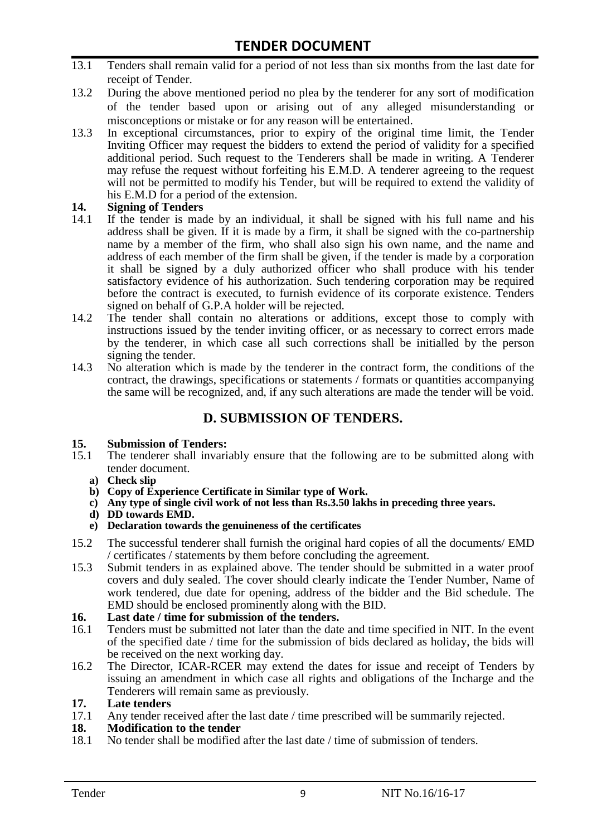- 13.1 Tenders shall remain valid for a period of not less than six months from the last date for receipt of Tender.
- 13.2 During the above mentioned period no plea by the tenderer for any sort of modification of the tender based upon or arising out of any alleged misunderstanding or misconceptions or mistake or for any reason will be entertained.
- 13.3 In exceptional circumstances, prior to expiry of the original time limit, the Tender Inviting Officer may request the bidders to extend the period of validity for a specified additional period. Such request to the Tenderers shall be made in writing. A Tenderer may refuse the request without forfeiting his E.M.D. A tenderer agreeing to the request will not be permitted to modify his Tender, but will be required to extend the validity of his E.M.D for a period of the extension.

# **14.** Signing of Tenders<br>14.1 If the tender is made

- If the tender is made by an individual, it shall be signed with his full name and his address shall be given. If it is made by a firm, it shall be signed with the co-partnership name by a member of the firm, who shall also sign his own name, and the name and address of each member of the firm shall be given, if the tender is made by a corporation it shall be signed by a duly authorized officer who shall produce with his tender satisfactory evidence of his authorization. Such tendering corporation may be required before the contract is executed, to furnish evidence of its corporate existence. Tenders signed on behalf of G.P.A holder will be rejected.
- 14.2 The tender shall contain no alterations or additions, except those to comply with instructions issued by the tender inviting officer, or as necessary to correct errors made by the tenderer, in which case all such corrections shall be initialled by the person signing the tender.
- 14.3 No alteration which is made by the tenderer in the contract form, the conditions of the contract, the drawings, specifications or statements / formats or quantities accompanying the same will be recognized, and, if any such alterations are made the tender will be void.

# **D. SUBMISSION OF TENDERS.**

#### **15. Submission of Tenders:**

- 15.1 The tenderer shall invariably ensure that the following are to be submitted along with tender document.
	- **a) Check slip**
	- **b) Copy of Experience Certificate in Similar type of Work.**
	- **c) Any type of single civil work of not less than Rs.3.50 lakhs in preceding three years.**
	- **d) DD towards EMD.**
	- **e) Declaration towards the genuineness of the certificates**
- 15.2 The successful tenderer shall furnish the original hard copies of all the documents/ EMD / certificates / statements by them before concluding the agreement.
- 15.3 Submit tenders in as explained above. The tender should be submitted in a water proof covers and duly sealed. The cover should clearly indicate the Tender Number, Name of work tendered, due date for opening, address of the bidder and the Bid schedule. The EMD should be enclosed prominently along with the BID.
- **16. Last date / time for submission of the tenders.**
- 16.1 Tenders must be submitted not later than the date and time specified in NIT. In the event of the specified date / time for the submission of bids declared as holiday, the bids will be received on the next working day.
- 16.2 The Director, ICAR-RCER may extend the dates for issue and receipt of Tenders by issuing an amendment in which case all rights and obligations of the Incharge and the Tenderers will remain same as previously.

#### **17. Late tenders**

17.1 Any tender received after the last date / time prescribed will be summarily rejected.

#### **18. Modification to the tender**

18.1 No tender shall be modified after the last date / time of submission of tenders.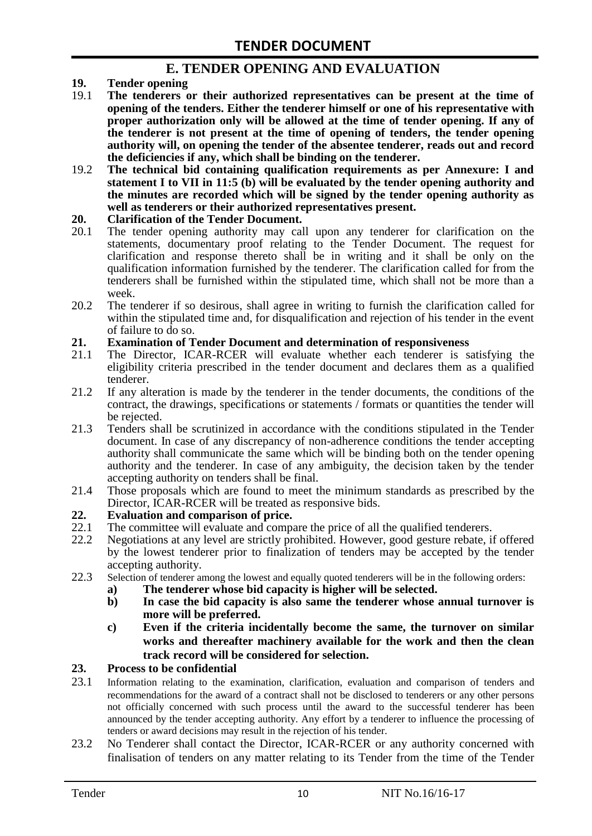# **E. TENDER OPENING AND EVALUATION**

- **19. Tender opening**
- 19.1 **The tenderers or their authorized representatives can be present at the time of opening of the tenders. Either the tenderer himself or one of his representative with proper authorization only will be allowed at the time of tender opening. If any of the tenderer is not present at the time of opening of tenders, the tender opening authority will, on opening the tender of the absentee tenderer, reads out and record the deficiencies if any, which shall be binding on the tenderer.**
- 19.2 **The technical bid containing qualification requirements as per Annexure: I and statement I to VII in 11:5 (b) will be evaluated by the tender opening authority and the minutes are recorded which will be signed by the tender opening authority as well as tenderers or their authorized representatives present.**

#### **20. Clarification of the Tender Document.**

- 20.1 The tender opening authority may call upon any tenderer for clarification on the statements, documentary proof relating to the Tender Document. The request for clarification and response thereto shall be in writing and it shall be only on the qualification information furnished by the tenderer. The clarification called for from the tenderers shall be furnished within the stipulated time, which shall not be more than a week.
- 20.2 The tenderer if so desirous, shall agree in writing to furnish the clarification called for within the stipulated time and, for disqualification and rejection of his tender in the event of failure to do so.

# **21. Examination of Tender Document and determination of responsiveness**

- 21.1 The Director, ICAR-RCER will evaluate whether each tenderer is satisfying the eligibility criteria prescribed in the tender document and declares them as a qualified tenderer.
- 21.2 If any alteration is made by the tenderer in the tender documents, the conditions of the contract, the drawings, specifications or statements / formats or quantities the tender will be rejected.
- 21.3 Tenders shall be scrutinized in accordance with the conditions stipulated in the Tender document. In case of any discrepancy of non-adherence conditions the tender accepting authority shall communicate the same which will be binding both on the tender opening authority and the tenderer. In case of any ambiguity, the decision taken by the tender accepting authority on tenders shall be final.
- 21.4 Those proposals which are found to meet the minimum standards as prescribed by the Director, ICAR-RCER will be treated as responsive bids.

# **22. Evaluation and comparison of price.**

- The committee will evaluate and compare the price of all the qualified tenderers.
- 22.2 Negotiations at any level are strictly prohibited. However, good gesture rebate, if offered by the lowest tenderer prior to finalization of tenders may be accepted by the tender accepting authority.
- 22.3 Selection of tenderer among the lowest and equally quoted tenderers will be in the following orders:
	- **a) The tenderer whose bid capacity is higher will be selected.**
	- **b) In case the bid capacity is also same the tenderer whose annual turnover is more will be preferred.**
	- **c) Even if the criteria incidentally become the same, the turnover on similar works and thereafter machinery available for the work and then the clean track record will be considered for selection.**

#### **23. Process to be confidential**

- 23.1 Information relating to the examination, clarification, evaluation and comparison of tenders and recommendations for the award of a contract shall not be disclosed to tenderers or any other persons not officially concerned with such process until the award to the successful tenderer has been announced by the tender accepting authority. Any effort by a tenderer to influence the processing of tenders or award decisions may result in the rejection of his tender.
- 23.2 No Tenderer shall contact the Director, ICAR-RCER or any authority concerned with finalisation of tenders on any matter relating to its Tender from the time of the Tender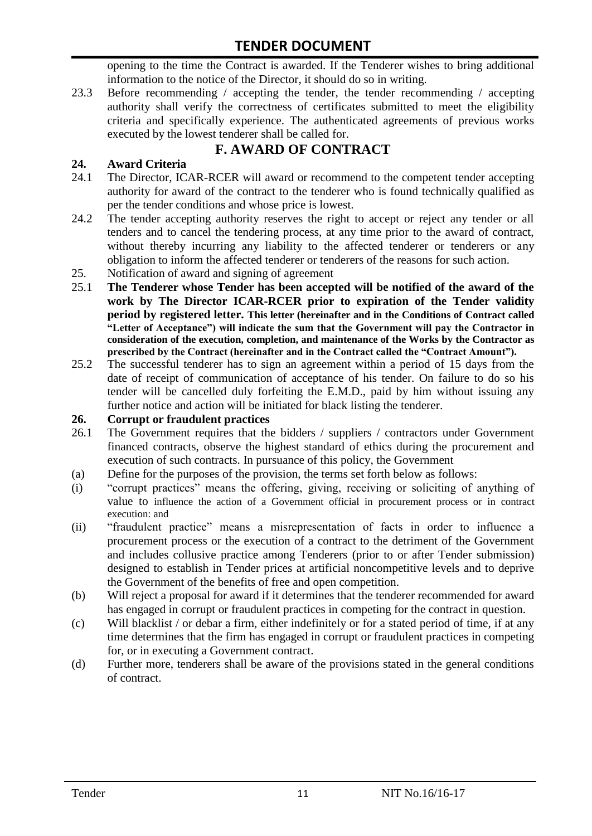opening to the time the Contract is awarded. If the Tenderer wishes to bring additional information to the notice of the Director, it should do so in writing.

23.3 Before recommending / accepting the tender, the tender recommending / accepting authority shall verify the correctness of certificates submitted to meet the eligibility criteria and specifically experience. The authenticated agreements of previous works executed by the lowest tenderer shall be called for.

# **F. AWARD OF CONTRACT**

### **24. Award Criteria**

- 24.1 The Director, ICAR-RCER will award or recommend to the competent tender accepting authority for award of the contract to the tenderer who is found technically qualified as per the tender conditions and whose price is lowest.
- 24.2 The tender accepting authority reserves the right to accept or reject any tender or all tenders and to cancel the tendering process, at any time prior to the award of contract, without thereby incurring any liability to the affected tenderer or tenderers or any obligation to inform the affected tenderer or tenderers of the reasons for such action.
- 25. Notification of award and signing of agreement
- 25.1 **The Tenderer whose Tender has been accepted will be notified of the award of the work by The Director ICAR-RCER prior to expiration of the Tender validity period by registered letter. This letter (hereinafter and in the Conditions of Contract called "Letter of Acceptance") will indicate the sum that the Government will pay the Contractor in consideration of the execution, completion, and maintenance of the Works by the Contractor as prescribed by the Contract (hereinafter and in the Contract called the "Contract Amount").**
- 25.2 The successful tenderer has to sign an agreement within a period of 15 days from the date of receipt of communication of acceptance of his tender. On failure to do so his tender will be cancelled duly forfeiting the E.M.D., paid by him without issuing any further notice and action will be initiated for black listing the tenderer.

#### **26. Corrupt or fraudulent practices**

- 26.1 The Government requires that the bidders / suppliers / contractors under Government financed contracts, observe the highest standard of ethics during the procurement and execution of such contracts. In pursuance of this policy, the Government
- (a) Define for the purposes of the provision, the terms set forth below as follows:
- (i) "corrupt practices" means the offering, giving, receiving or soliciting of anything of value to influence the action of a Government official in procurement process or in contract execution: and
- (ii) "fraudulent practice" means a misrepresentation of facts in order to influence a procurement process or the execution of a contract to the detriment of the Government and includes collusive practice among Tenderers (prior to or after Tender submission) designed to establish in Tender prices at artificial noncompetitive levels and to deprive the Government of the benefits of free and open competition.
- (b) Will reject a proposal for award if it determines that the tenderer recommended for award has engaged in corrupt or fraudulent practices in competing for the contract in question.
- (c) Will blacklist / or debar a firm, either indefinitely or for a stated period of time, if at any time determines that the firm has engaged in corrupt or fraudulent practices in competing for, or in executing a Government contract.
- (d) Further more, tenderers shall be aware of the provisions stated in the general conditions of contract.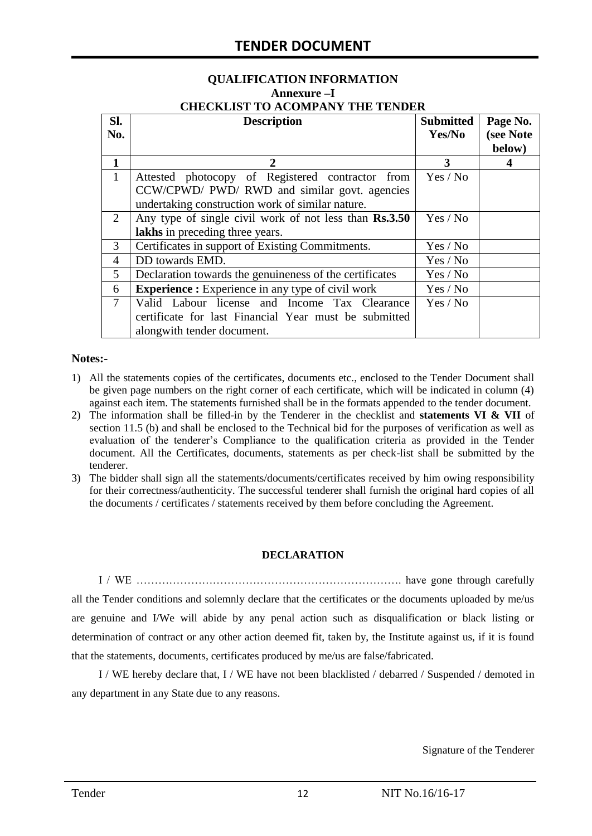# **QUALIFICATION INFORMATION Annexure –I**

|  | <b>CHECKLIST TO ACOMPANY THE TENDER</b> |  |
|--|-----------------------------------------|--|
|  |                                         |  |

| SI.            | <b>Description</b>                                       | <b>Submitted</b> | Page No.  |
|----------------|----------------------------------------------------------|------------------|-----------|
| No.            |                                                          | Yes/No           | (see Note |
|                |                                                          |                  | below)    |
| $\mathbf{1}$   | $\mathbf{2}$                                             | 3                | 4         |
| $\mathbf{1}$   | Attested photocopy of Registered contractor from         | Yes / No         |           |
|                | CCW/CPWD/ PWD/ RWD and similar govt. agencies            |                  |           |
|                | undertaking construction work of similar nature.         |                  |           |
| 2              | Any type of single civil work of not less than Rs.3.50   | Yes / No         |           |
|                | lakhs in preceding three years.                          |                  |           |
| 3              | Certificates in support of Existing Commitments.         | Yes / No         |           |
| 4              | DD towards EMD.                                          | Yes / No         |           |
| 5              | Declaration towards the genuineness of the certificates  | Yes / No         |           |
| 6              | <b>Experience :</b> Experience in any type of civil work | Yes / No         |           |
| $\overline{7}$ | Valid Labour license and Income Tax Clearance            | Yes / No         |           |
|                | certificate for last Financial Year must be submitted    |                  |           |
|                | alongwith tender document.                               |                  |           |

#### **Notes:-**

- 1) All the statements copies of the certificates, documents etc., enclosed to the Tender Document shall be given page numbers on the right corner of each certificate, which will be indicated in column (4) against each item. The statements furnished shall be in the formats appended to the tender document.
- 2) The information shall be filled-in by the Tenderer in the checklist and **statements VI & VII** of section 11.5 (b) and shall be enclosed to the Technical bid for the purposes of verification as well as evaluation of the tenderer"s Compliance to the qualification criteria as provided in the Tender document. All the Certificates, documents, statements as per check-list shall be submitted by the tenderer.
- 3) The bidder shall sign all the statements/documents/certificates received by him owing responsibility for their correctness/authenticity. The successful tenderer shall furnish the original hard copies of all the documents / certificates / statements received by them before concluding the Agreement.

#### **DECLARATION**

I / WE ………………………………………………………………. have gone through carefully all the Tender conditions and solemnly declare that the certificates or the documents uploaded by me/us are genuine and I/We will abide by any penal action such as disqualification or black listing or determination of contract or any other action deemed fit, taken by, the Institute against us, if it is found that the statements, documents, certificates produced by me/us are false/fabricated.

I / WE hereby declare that, I / WE have not been blacklisted / debarred / Suspended / demoted in any department in any State due to any reasons.

Signature of the Tenderer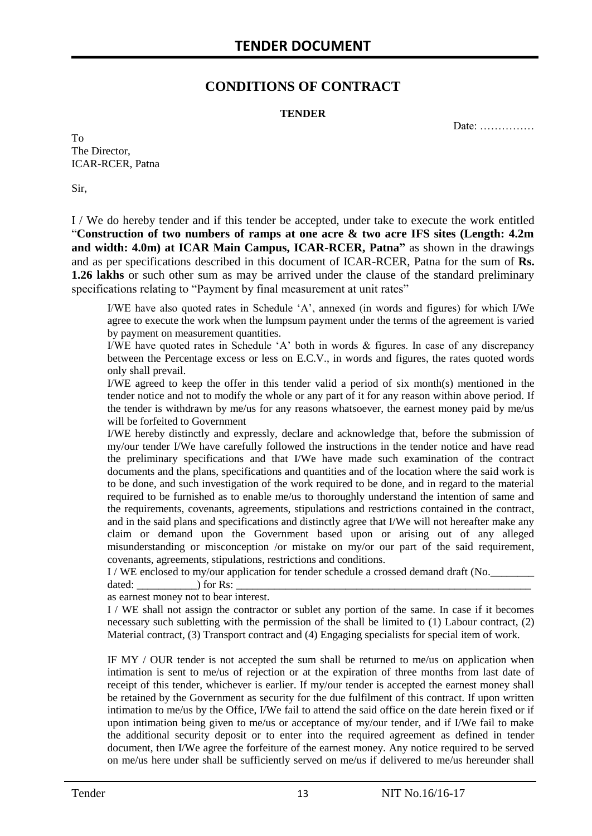# **CONDITIONS OF CONTRACT**

#### **TENDER**

Date: ……………

To The Director, ICAR-RCER, Patna

Sir,

I / We do hereby tender and if this tender be accepted, under take to execute the work entitled "**Construction of two numbers of ramps at one acre & two acre IFS sites (Length: 4.2m and width: 4.0m) at ICAR Main Campus, ICAR-RCER, Patna"** as shown in the drawings and as per specifications described in this document of ICAR-RCER, Patna for the sum of **Rs. 1.26 lakhs** or such other sum as may be arrived under the clause of the standard preliminary specifications relating to "Payment by final measurement at unit rates"

I/WE have also quoted rates in Schedule "A", annexed (in words and figures) for which I/We agree to execute the work when the lumpsum payment under the terms of the agreement is varied by payment on measurement quantities.

I/WE have quoted rates in Schedule "A" both in words & figures. In case of any discrepancy between the Percentage excess or less on E.C.V., in words and figures, the rates quoted words only shall prevail.

I/WE agreed to keep the offer in this tender valid a period of six month(s) mentioned in the tender notice and not to modify the whole or any part of it for any reason within above period. If the tender is withdrawn by me/us for any reasons whatsoever, the earnest money paid by me/us will be forfeited to Government

I/WE hereby distinctly and expressly, declare and acknowledge that, before the submission of my/our tender I/We have carefully followed the instructions in the tender notice and have read the preliminary specifications and that I/We have made such examination of the contract documents and the plans, specifications and quantities and of the location where the said work is to be done, and such investigation of the work required to be done, and in regard to the material required to be furnished as to enable me/us to thoroughly understand the intention of same and the requirements, covenants, agreements, stipulations and restrictions contained in the contract, and in the said plans and specifications and distinctly agree that I/We will not hereafter make any claim or demand upon the Government based upon or arising out of any alleged misunderstanding or misconception /or mistake on my/or our part of the said requirement, covenants, agreements, stipulations, restrictions and conditions.

I / WE enclosed to my/our application for tender schedule a crossed demand draft (No.

dated:  $\qquad \qquad$  ) for Rs:

as earnest money not to bear interest.

I / WE shall not assign the contractor or sublet any portion of the same. In case if it becomes necessary such subletting with the permission of the shall be limited to (1) Labour contract, (2) Material contract, (3) Transport contract and (4) Engaging specialists for special item of work.

IF MY / OUR tender is not accepted the sum shall be returned to me/us on application when intimation is sent to me/us of rejection or at the expiration of three months from last date of receipt of this tender, whichever is earlier. If my/our tender is accepted the earnest money shall be retained by the Government as security for the due fulfilment of this contract. If upon written intimation to me/us by the Office, I/We fail to attend the said office on the date herein fixed or if upon intimation being given to me/us or acceptance of my/our tender, and if I/We fail to make the additional security deposit or to enter into the required agreement as defined in tender document, then I/We agree the forfeiture of the earnest money. Any notice required to be served on me/us here under shall be sufficiently served on me/us if delivered to me/us hereunder shall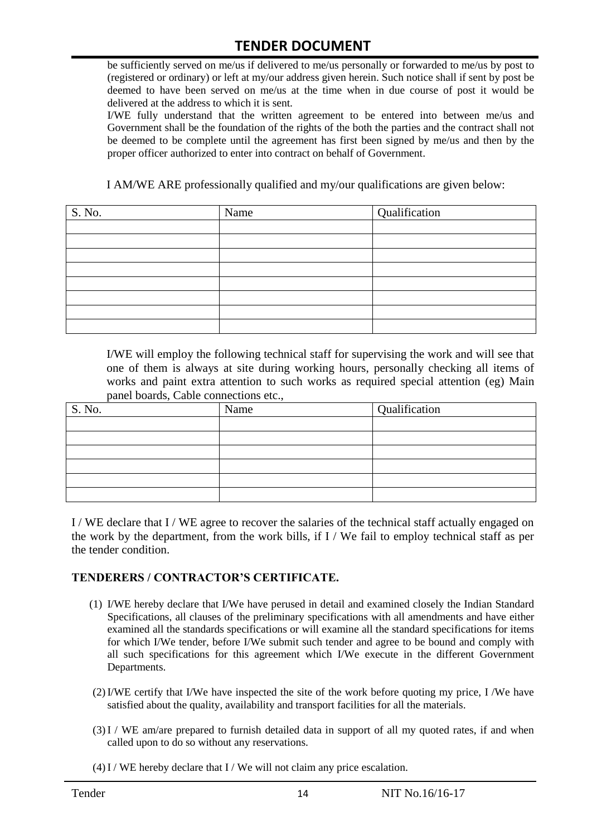be sufficiently served on me/us if delivered to me/us personally or forwarded to me/us by post to (registered or ordinary) or left at my/our address given herein. Such notice shall if sent by post be deemed to have been served on me/us at the time when in due course of post it would be delivered at the address to which it is sent.

I/WE fully understand that the written agreement to be entered into between me/us and Government shall be the foundation of the rights of the both the parties and the contract shall not be deemed to be complete until the agreement has first been signed by me/us and then by the proper officer authorized to enter into contract on behalf of Government.

I AM/WE ARE professionally qualified and my/our qualifications are given below:

| S. No. | Name | Qualification |
|--------|------|---------------|
|        |      |               |
|        |      |               |
|        |      |               |
|        |      |               |
|        |      |               |
|        |      |               |
|        |      |               |
|        |      |               |

I/WE will employ the following technical staff for supervising the work and will see that one of them is always at site during working hours, personally checking all items of works and paint extra attention to such works as required special attention (eg) Main panel boards, Cable connections etc.,

| S. No. | Name | Qualification |
|--------|------|---------------|
|        |      |               |
|        |      |               |
|        |      |               |
|        |      |               |
|        |      |               |
|        |      |               |

I / WE declare that I / WE agree to recover the salaries of the technical staff actually engaged on the work by the department, from the work bills, if I / We fail to employ technical staff as per the tender condition.

#### **TENDERERS / CONTRACTOR'S CERTIFICATE.**

- (1) I/WE hereby declare that I/We have perused in detail and examined closely the Indian Standard Specifications, all clauses of the preliminary specifications with all amendments and have either examined all the standards specifications or will examine all the standard specifications for items for which I/We tender, before I/We submit such tender and agree to be bound and comply with all such specifications for this agreement which I/We execute in the different Government Departments.
- (2)I/WE certify that I/We have inspected the site of the work before quoting my price, I /We have satisfied about the quality, availability and transport facilities for all the materials.
- (3)I / WE am/are prepared to furnish detailed data in support of all my quoted rates, if and when called upon to do so without any reservations.
- $(4)$  I / WE hereby declare that I / We will not claim any price escalation.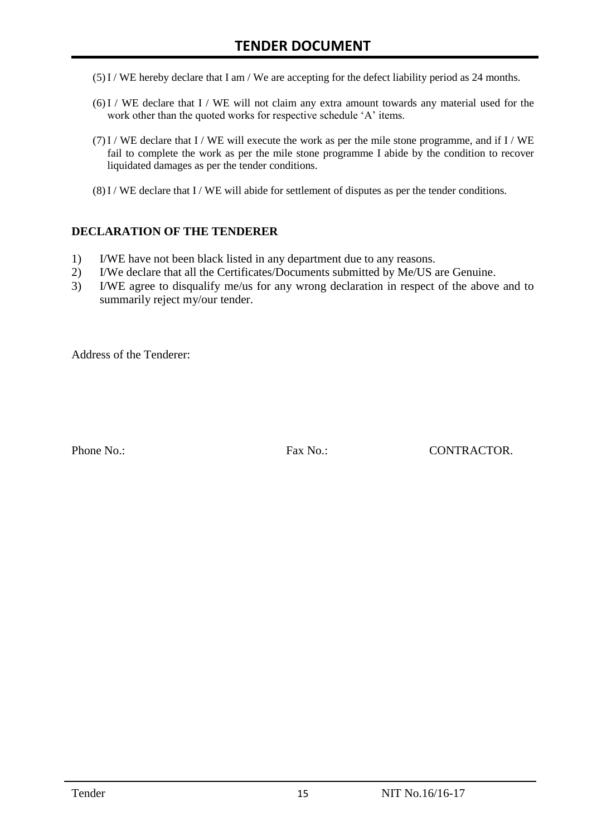- (5)I / WE hereby declare that I am / We are accepting for the defect liability period as 24 months.
- (6)I / WE declare that I / WE will not claim any extra amount towards any material used for the work other than the quoted works for respective schedule 'A' items.
- $(7)$ I / WE declare that I / WE will execute the work as per the mile stone programme, and if I / WE fail to complete the work as per the mile stone programme I abide by the condition to recover liquidated damages as per the tender conditions.
- $(8)$  I / WE declare that I / WE will abide for settlement of disputes as per the tender conditions.

#### **DECLARATION OF THE TENDERER**

- 1) I/WE have not been black listed in any department due to any reasons.
- 2) I/We declare that all the Certificates/Documents submitted by Me/US are Genuine.
- 3) I/WE agree to disqualify me/us for any wrong declaration in respect of the above and to summarily reject my/our tender.

Address of the Tenderer:

Phone No.: Fax No.: CONTRACTOR.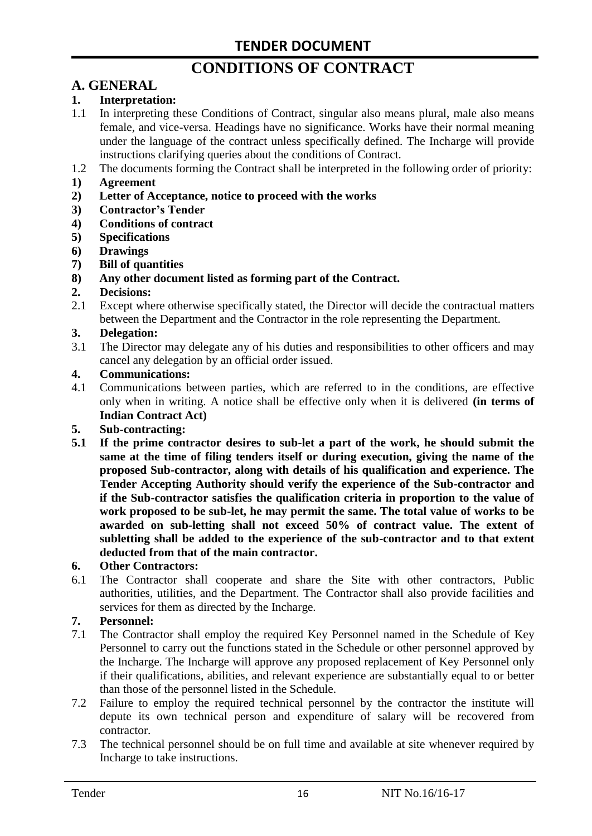# **CONDITIONS OF CONTRACT**

# **A. GENERAL**

#### **1. Interpretation:**

- 1.1 In interpreting these Conditions of Contract, singular also means plural, male also means female, and vice-versa. Headings have no significance. Works have their normal meaning under the language of the contract unless specifically defined. The Incharge will provide instructions clarifying queries about the conditions of Contract.
- 1.2 The documents forming the Contract shall be interpreted in the following order of priority:
- **1) Agreement**
- **2) Letter of Acceptance, notice to proceed with the works**
- **3) Contractor's Tender**
- **4) Conditions of contract**
- **5) Specifications**
- **6) Drawings**
- **7) Bill of quantities**
- **8) Any other document listed as forming part of the Contract.**

#### **2. Decisions:**

2.1 Except where otherwise specifically stated, the Director will decide the contractual matters between the Department and the Contractor in the role representing the Department.

#### **3. Delegation:**

3.1 The Director may delegate any of his duties and responsibilities to other officers and may cancel any delegation by an official order issued.

#### **4. Communications:**

4.1 Communications between parties, which are referred to in the conditions, are effective only when in writing. A notice shall be effective only when it is delivered **(in terms of Indian Contract Act)**

#### **5. Sub-contracting:**

**5.1 If the prime contractor desires to sub-let a part of the work, he should submit the same at the time of filing tenders itself or during execution, giving the name of the proposed Sub-contractor, along with details of his qualification and experience. The Tender Accepting Authority should verify the experience of the Sub-contractor and if the Sub-contractor satisfies the qualification criteria in proportion to the value of work proposed to be sub-let, he may permit the same. The total value of works to be awarded on sub-letting shall not exceed 50% of contract value. The extent of subletting shall be added to the experience of the sub-contractor and to that extent deducted from that of the main contractor.**

#### **6. Other Contractors:**

6.1 The Contractor shall cooperate and share the Site with other contractors, Public authorities, utilities, and the Department. The Contractor shall also provide facilities and services for them as directed by the Incharge.

#### **7. Personnel:**

- 7.1 The Contractor shall employ the required Key Personnel named in the Schedule of Key Personnel to carry out the functions stated in the Schedule or other personnel approved by the Incharge. The Incharge will approve any proposed replacement of Key Personnel only if their qualifications, abilities, and relevant experience are substantially equal to or better than those of the personnel listed in the Schedule.
- 7.2 Failure to employ the required technical personnel by the contractor the institute will depute its own technical person and expenditure of salary will be recovered from contractor.
- 7.3 The technical personnel should be on full time and available at site whenever required by Incharge to take instructions.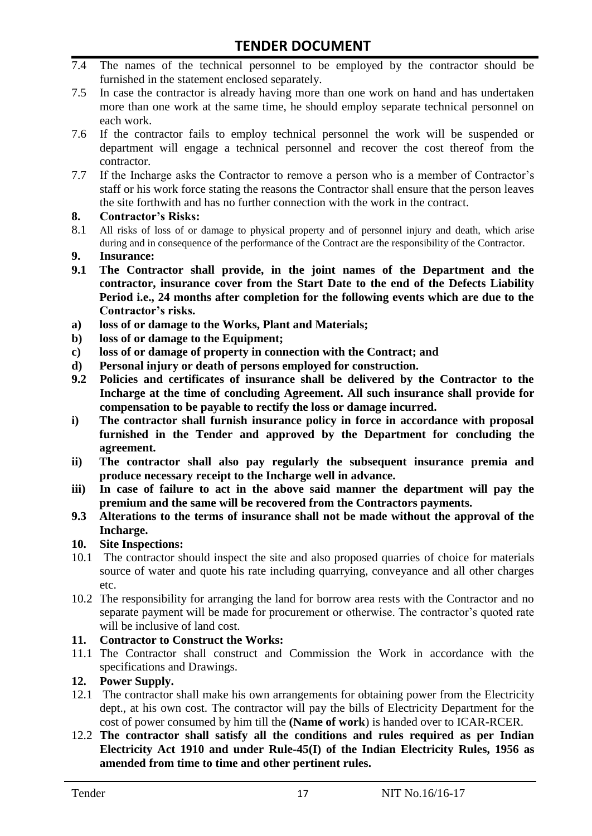- 7.4 The names of the technical personnel to be employed by the contractor should be furnished in the statement enclosed separately.
- 7.5 In case the contractor is already having more than one work on hand and has undertaken more than one work at the same time, he should employ separate technical personnel on each work.
- 7.6 If the contractor fails to employ technical personnel the work will be suspended or department will engage a technical personnel and recover the cost thereof from the contractor.
- 7.7 If the Incharge asks the Contractor to remove a person who is a member of Contractor"s staff or his work force stating the reasons the Contractor shall ensure that the person leaves the site forthwith and has no further connection with the work in the contract.

#### **8. Contractor's Risks:**

- 8.1 All risks of loss of or damage to physical property and of personnel injury and death, which arise during and in consequence of the performance of the Contract are the responsibility of the Contractor.
- **9. Insurance:**
- **9.1 The Contractor shall provide, in the joint names of the Department and the contractor, insurance cover from the Start Date to the end of the Defects Liability Period i.e., 24 months after completion for the following events which are due to the Contractor's risks.**
- **a) loss of or damage to the Works, Plant and Materials;**
- **b) loss of or damage to the Equipment;**
- **c) loss of or damage of property in connection with the Contract; and**
- **d) Personal injury or death of persons employed for construction.**
- **9.2 Policies and certificates of insurance shall be delivered by the Contractor to the Incharge at the time of concluding Agreement. All such insurance shall provide for compensation to be payable to rectify the loss or damage incurred.**
- **i) The contractor shall furnish insurance policy in force in accordance with proposal furnished in the Tender and approved by the Department for concluding the agreement.**
- **ii) The contractor shall also pay regularly the subsequent insurance premia and produce necessary receipt to the Incharge well in advance.**
- **iii) In case of failure to act in the above said manner the department will pay the premium and the same will be recovered from the Contractors payments.**
- **9.3 Alterations to the terms of insurance shall not be made without the approval of the Incharge.**

#### **10. Site Inspections:**

- 10.1 The contractor should inspect the site and also proposed quarries of choice for materials source of water and quote his rate including quarrying, conveyance and all other charges etc.
- 10.2 The responsibility for arranging the land for borrow area rests with the Contractor and no separate payment will be made for procurement or otherwise. The contractor's quoted rate will be inclusive of land cost.

#### **11. Contractor to Construct the Works:**

11.1 The Contractor shall construct and Commission the Work in accordance with the specifications and Drawings.

### **12. Power Supply.**

- 12.1 The contractor shall make his own arrangements for obtaining power from the Electricity dept., at his own cost. The contractor will pay the bills of Electricity Department for the cost of power consumed by him till the **(Name of work**) is handed over to ICAR-RCER.
- 12.2 **The contractor shall satisfy all the conditions and rules required as per Indian Electricity Act 1910 and under Rule-45(I) of the Indian Electricity Rules, 1956 as amended from time to time and other pertinent rules.**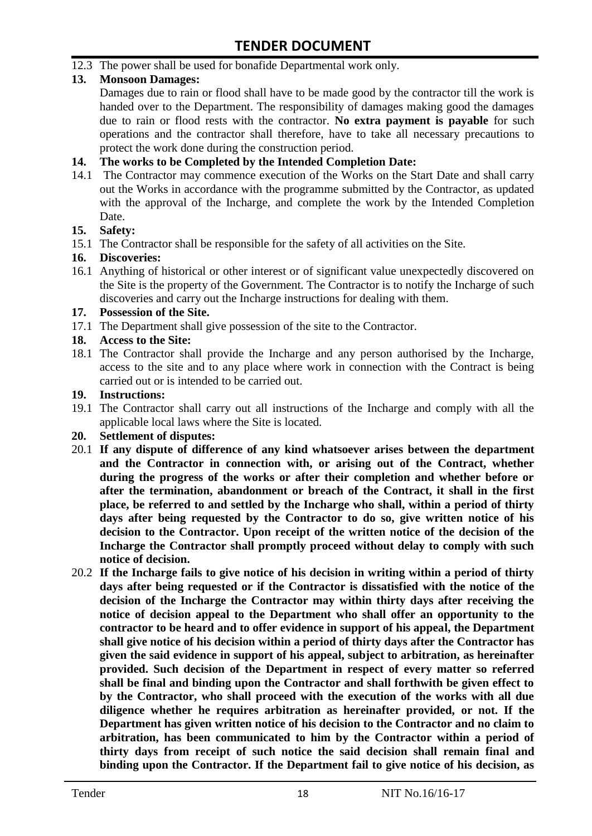12.3 The power shall be used for bonafide Departmental work only.

### **13. Monsoon Damages:**

Damages due to rain or flood shall have to be made good by the contractor till the work is handed over to the Department. The responsibility of damages making good the damages due to rain or flood rests with the contractor. **No extra payment is payable** for such operations and the contractor shall therefore, have to take all necessary precautions to protect the work done during the construction period.

#### **14. The works to be Completed by the Intended Completion Date:**

14.1 The Contractor may commence execution of the Works on the Start Date and shall carry out the Works in accordance with the programme submitted by the Contractor, as updated with the approval of the Incharge, and complete the work by the Intended Completion Date.

#### **15. Safety:**

15.1 The Contractor shall be responsible for the safety of all activities on the Site.

#### **16. Discoveries:**

16.1 Anything of historical or other interest or of significant value unexpectedly discovered on the Site is the property of the Government. The Contractor is to notify the Incharge of such discoveries and carry out the Incharge instructions for dealing with them.

#### **17. Possession of the Site.**

17.1 The Department shall give possession of the site to the Contractor.

### **18. Access to the Site:**

18.1 The Contractor shall provide the Incharge and any person authorised by the Incharge, access to the site and to any place where work in connection with the Contract is being carried out or is intended to be carried out.

#### **19. Instructions:**

- 19.1 The Contractor shall carry out all instructions of the Incharge and comply with all the applicable local laws where the Site is located.
- **20. Settlement of disputes:**
- 20.1 **If any dispute of difference of any kind whatsoever arises between the department and the Contractor in connection with, or arising out of the Contract, whether during the progress of the works or after their completion and whether before or after the termination, abandonment or breach of the Contract, it shall in the first place, be referred to and settled by the Incharge who shall, within a period of thirty days after being requested by the Contractor to do so, give written notice of his decision to the Contractor. Upon receipt of the written notice of the decision of the Incharge the Contractor shall promptly proceed without delay to comply with such notice of decision.**
- 20.2 **If the Incharge fails to give notice of his decision in writing within a period of thirty days after being requested or if the Contractor is dissatisfied with the notice of the decision of the Incharge the Contractor may within thirty days after receiving the notice of decision appeal to the Department who shall offer an opportunity to the contractor to be heard and to offer evidence in support of his appeal, the Department shall give notice of his decision within a period of thirty days after the Contractor has given the said evidence in support of his appeal, subject to arbitration, as hereinafter provided. Such decision of the Department in respect of every matter so referred shall be final and binding upon the Contractor and shall forthwith be given effect to by the Contractor, who shall proceed with the execution of the works with all due diligence whether he requires arbitration as hereinafter provided, or not. If the Department has given written notice of his decision to the Contractor and no claim to arbitration, has been communicated to him by the Contractor within a period of thirty days from receipt of such notice the said decision shall remain final and binding upon the Contractor. If the Department fail to give notice of his decision, as**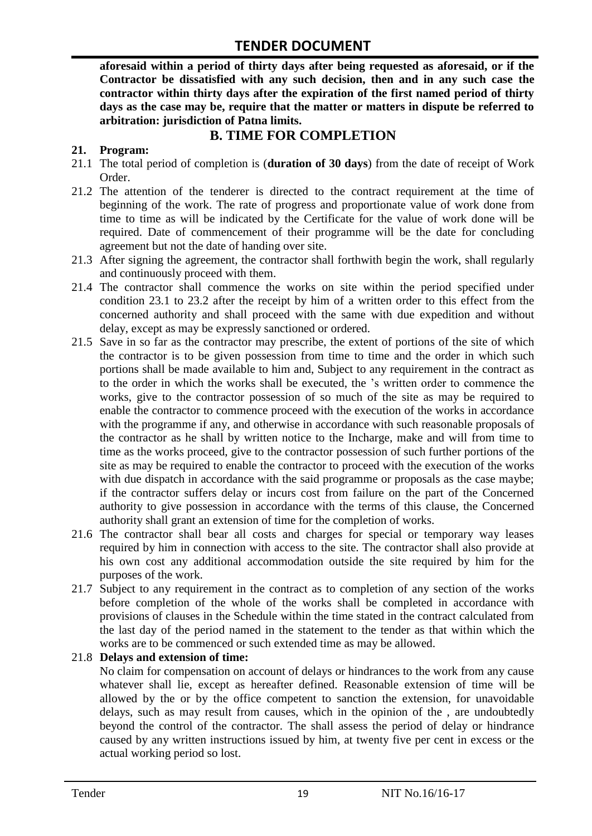**aforesaid within a period of thirty days after being requested as aforesaid, or if the Contractor be dissatisfied with any such decision, then and in any such case the contractor within thirty days after the expiration of the first named period of thirty days as the case may be, require that the matter or matters in dispute be referred to arbitration: jurisdiction of Patna limits.**

# **B. TIME FOR COMPLETION**

#### **21. Program:**

- 21.1 The total period of completion is (**duration of 30 days**) from the date of receipt of Work Order.
- 21.2 The attention of the tenderer is directed to the contract requirement at the time of beginning of the work. The rate of progress and proportionate value of work done from time to time as will be indicated by the Certificate for the value of work done will be required. Date of commencement of their programme will be the date for concluding agreement but not the date of handing over site.
- 21.3 After signing the agreement, the contractor shall forthwith begin the work, shall regularly and continuously proceed with them.
- 21.4 The contractor shall commence the works on site within the period specified under condition 23.1 to 23.2 after the receipt by him of a written order to this effect from the concerned authority and shall proceed with the same with due expedition and without delay, except as may be expressly sanctioned or ordered.
- 21.5 Save in so far as the contractor may prescribe, the extent of portions of the site of which the contractor is to be given possession from time to time and the order in which such portions shall be made available to him and, Subject to any requirement in the contract as to the order in which the works shall be executed, the "s written order to commence the works, give to the contractor possession of so much of the site as may be required to enable the contractor to commence proceed with the execution of the works in accordance with the programme if any, and otherwise in accordance with such reasonable proposals of the contractor as he shall by written notice to the Incharge, make and will from time to time as the works proceed, give to the contractor possession of such further portions of the site as may be required to enable the contractor to proceed with the execution of the works with due dispatch in accordance with the said programme or proposals as the case maybe; if the contractor suffers delay or incurs cost from failure on the part of the Concerned authority to give possession in accordance with the terms of this clause, the Concerned authority shall grant an extension of time for the completion of works.
- 21.6 The contractor shall bear all costs and charges for special or temporary way leases required by him in connection with access to the site. The contractor shall also provide at his own cost any additional accommodation outside the site required by him for the purposes of the work.
- 21.7 Subject to any requirement in the contract as to completion of any section of the works before completion of the whole of the works shall be completed in accordance with provisions of clauses in the Schedule within the time stated in the contract calculated from the last day of the period named in the statement to the tender as that within which the works are to be commenced or such extended time as may be allowed.

#### 21.8 **Delays and extension of time:**

No claim for compensation on account of delays or hindrances to the work from any cause whatever shall lie, except as hereafter defined. Reasonable extension of time will be allowed by the or by the office competent to sanction the extension, for unavoidable delays, such as may result from causes, which in the opinion of the , are undoubtedly beyond the control of the contractor. The shall assess the period of delay or hindrance caused by any written instructions issued by him, at twenty five per cent in excess or the actual working period so lost.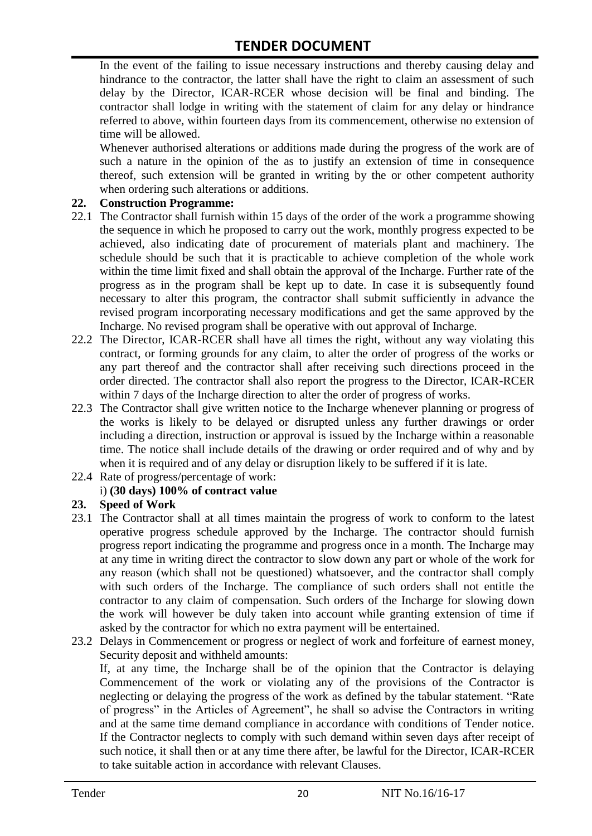In the event of the failing to issue necessary instructions and thereby causing delay and hindrance to the contractor, the latter shall have the right to claim an assessment of such delay by the Director, ICAR-RCER whose decision will be final and binding. The contractor shall lodge in writing with the statement of claim for any delay or hindrance referred to above, within fourteen days from its commencement, otherwise no extension of time will be allowed.

Whenever authorised alterations or additions made during the progress of the work are of such a nature in the opinion of the as to justify an extension of time in consequence thereof, such extension will be granted in writing by the or other competent authority when ordering such alterations or additions.

#### **22. Construction Programme:**

- 22.1 The Contractor shall furnish within 15 days of the order of the work a programme showing the sequence in which he proposed to carry out the work, monthly progress expected to be achieved, also indicating date of procurement of materials plant and machinery. The schedule should be such that it is practicable to achieve completion of the whole work within the time limit fixed and shall obtain the approval of the Incharge. Further rate of the progress as in the program shall be kept up to date. In case it is subsequently found necessary to alter this program, the contractor shall submit sufficiently in advance the revised program incorporating necessary modifications and get the same approved by the Incharge. No revised program shall be operative with out approval of Incharge.
- 22.2 The Director, ICAR-RCER shall have all times the right, without any way violating this contract, or forming grounds for any claim, to alter the order of progress of the works or any part thereof and the contractor shall after receiving such directions proceed in the order directed. The contractor shall also report the progress to the Director, ICAR-RCER within 7 days of the Incharge direction to alter the order of progress of works.
- 22.3 The Contractor shall give written notice to the Incharge whenever planning or progress of the works is likely to be delayed or disrupted unless any further drawings or order including a direction, instruction or approval is issued by the Incharge within a reasonable time. The notice shall include details of the drawing or order required and of why and by when it is required and of any delay or disruption likely to be suffered if it is late.
- 22.4 Rate of progress/percentage of work:

### i) **(30 days) 100% of contract value**

#### **23. Speed of Work**

- 23.1 The Contractor shall at all times maintain the progress of work to conform to the latest operative progress schedule approved by the Incharge. The contractor should furnish progress report indicating the programme and progress once in a month. The Incharge may at any time in writing direct the contractor to slow down any part or whole of the work for any reason (which shall not be questioned) whatsoever, and the contractor shall comply with such orders of the Incharge. The compliance of such orders shall not entitle the contractor to any claim of compensation. Such orders of the Incharge for slowing down the work will however be duly taken into account while granting extension of time if asked by the contractor for which no extra payment will be entertained.
- 23.2 Delays in Commencement or progress or neglect of work and forfeiture of earnest money, Security deposit and withheld amounts:

If, at any time, the Incharge shall be of the opinion that the Contractor is delaying Commencement of the work or violating any of the provisions of the Contractor is neglecting or delaying the progress of the work as defined by the tabular statement. "Rate of progress" in the Articles of Agreement", he shall so advise the Contractors in writing and at the same time demand compliance in accordance with conditions of Tender notice. If the Contractor neglects to comply with such demand within seven days after receipt of such notice, it shall then or at any time there after, be lawful for the Director, ICAR-RCER to take suitable action in accordance with relevant Clauses.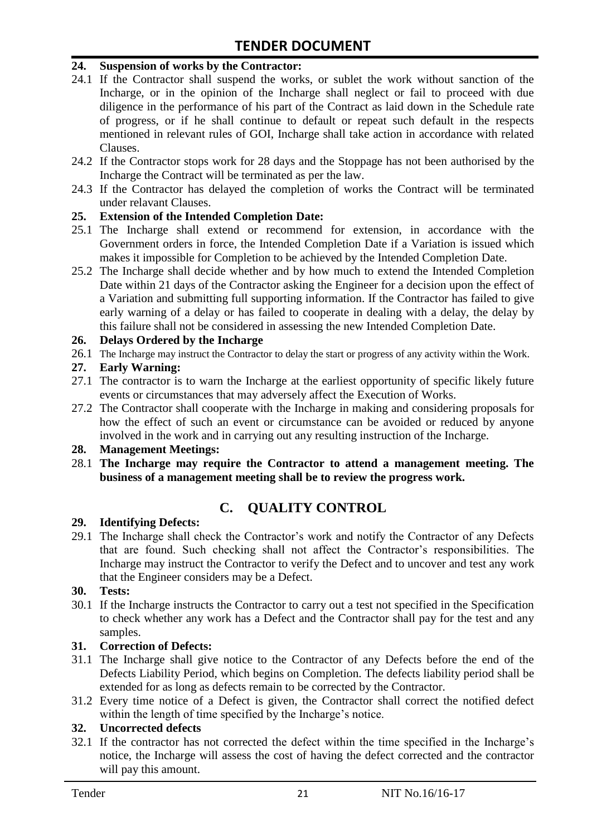#### **24. Suspension of works by the Contractor:**

- 24.1 If the Contractor shall suspend the works, or sublet the work without sanction of the Incharge, or in the opinion of the Incharge shall neglect or fail to proceed with due diligence in the performance of his part of the Contract as laid down in the Schedule rate of progress, or if he shall continue to default or repeat such default in the respects mentioned in relevant rules of GOI, Incharge shall take action in accordance with related Clauses.
- 24.2 If the Contractor stops work for 28 days and the Stoppage has not been authorised by the Incharge the Contract will be terminated as per the law.
- 24.3 If the Contractor has delayed the completion of works the Contract will be terminated under relavant Clauses.

#### **25. Extension of the Intended Completion Date:**

- 25.1 The Incharge shall extend or recommend for extension, in accordance with the Government orders in force, the Intended Completion Date if a Variation is issued which makes it impossible for Completion to be achieved by the Intended Completion Date.
- 25.2 The Incharge shall decide whether and by how much to extend the Intended Completion Date within 21 days of the Contractor asking the Engineer for a decision upon the effect of a Variation and submitting full supporting information. If the Contractor has failed to give early warning of a delay or has failed to cooperate in dealing with a delay, the delay by this failure shall not be considered in assessing the new Intended Completion Date.

#### **26. Delays Ordered by the Incharge**

26.1 The Incharge may instruct the Contractor to delay the start or progress of any activity within the Work.

#### **27. Early Warning:**

- 27.1 The contractor is to warn the Incharge at the earliest opportunity of specific likely future events or circumstances that may adversely affect the Execution of Works.
- 27.2 The Contractor shall cooperate with the Incharge in making and considering proposals for how the effect of such an event or circumstance can be avoided or reduced by anyone involved in the work and in carrying out any resulting instruction of the Incharge.

#### **28. Management Meetings:**

28.1 **The Incharge may require the Contractor to attend a management meeting. The business of a management meeting shall be to review the progress work.**

# **C. QUALITY CONTROL**

#### **29. Identifying Defects:**

29.1 The Incharge shall check the Contractor's work and notify the Contractor of any Defects that are found. Such checking shall not affect the Contractor"s responsibilities. The Incharge may instruct the Contractor to verify the Defect and to uncover and test any work that the Engineer considers may be a Defect.

#### **30. Tests:**

30.1 If the Incharge instructs the Contractor to carry out a test not specified in the Specification to check whether any work has a Defect and the Contractor shall pay for the test and any samples.

#### **31. Correction of Defects:**

- 31.1 The Incharge shall give notice to the Contractor of any Defects before the end of the Defects Liability Period, which begins on Completion. The defects liability period shall be extended for as long as defects remain to be corrected by the Contractor.
- 31.2 Every time notice of a Defect is given, the Contractor shall correct the notified defect within the length of time specified by the Incharge's notice.

### **32. Uncorrected defects**

32.1 If the contractor has not corrected the defect within the time specified in the Incharge"s notice, the Incharge will assess the cost of having the defect corrected and the contractor will pay this amount.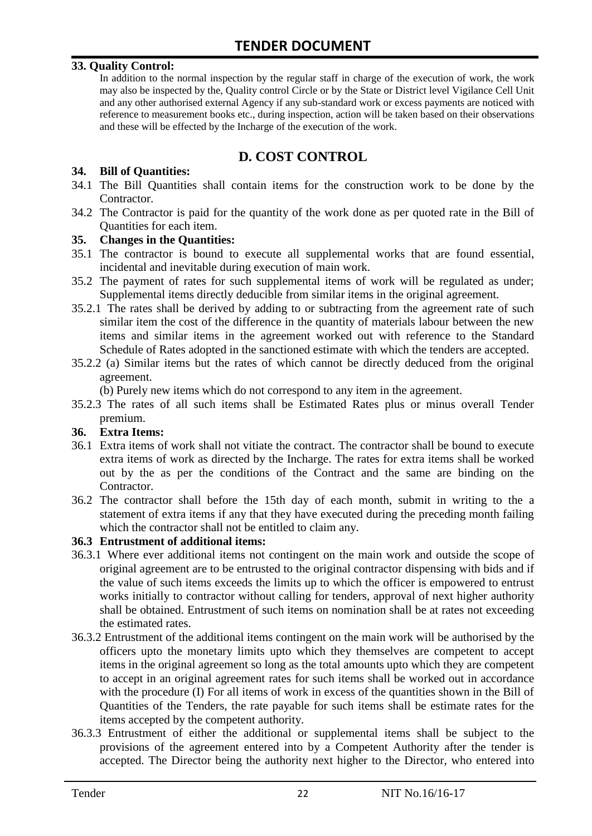#### **33. Quality Control:**

In addition to the normal inspection by the regular staff in charge of the execution of work, the work may also be inspected by the, Quality control Circle or by the State or District level Vigilance Cell Unit and any other authorised external Agency if any sub-standard work or excess payments are noticed with reference to measurement books etc., during inspection, action will be taken based on their observations and these will be effected by the Incharge of the execution of the work.

# **D. COST CONTROL**

#### **34. Bill of Quantities:**

- 34.1 The Bill Quantities shall contain items for the construction work to be done by the Contractor.
- 34.2 The Contractor is paid for the quantity of the work done as per quoted rate in the Bill of Quantities for each item.

#### **35. Changes in the Quantities:**

- 35.1 The contractor is bound to execute all supplemental works that are found essential, incidental and inevitable during execution of main work.
- 35.2 The payment of rates for such supplemental items of work will be regulated as under; Supplemental items directly deducible from similar items in the original agreement.
- 35.2.1 The rates shall be derived by adding to or subtracting from the agreement rate of such similar item the cost of the difference in the quantity of materials labour between the new items and similar items in the agreement worked out with reference to the Standard Schedule of Rates adopted in the sanctioned estimate with which the tenders are accepted.
- 35.2.2 (a) Similar items but the rates of which cannot be directly deduced from the original agreement.

(b) Purely new items which do not correspond to any item in the agreement.

35.2.3 The rates of all such items shall be Estimated Rates plus or minus overall Tender premium.

#### **36. Extra Items:**

- 36.1 Extra items of work shall not vitiate the contract. The contractor shall be bound to execute extra items of work as directed by the Incharge. The rates for extra items shall be worked out by the as per the conditions of the Contract and the same are binding on the Contractor.
- 36.2 The contractor shall before the 15th day of each month, submit in writing to the a statement of extra items if any that they have executed during the preceding month failing which the contractor shall not be entitled to claim any.

#### **36.3 Entrustment of additional items:**

- 36.3.1 Where ever additional items not contingent on the main work and outside the scope of original agreement are to be entrusted to the original contractor dispensing with bids and if the value of such items exceeds the limits up to which the officer is empowered to entrust works initially to contractor without calling for tenders, approval of next higher authority shall be obtained. Entrustment of such items on nomination shall be at rates not exceeding the estimated rates.
- 36.3.2 Entrustment of the additional items contingent on the main work will be authorised by the officers upto the monetary limits upto which they themselves are competent to accept items in the original agreement so long as the total amounts upto which they are competent to accept in an original agreement rates for such items shall be worked out in accordance with the procedure (I) For all items of work in excess of the quantities shown in the Bill of Quantities of the Tenders, the rate payable for such items shall be estimate rates for the items accepted by the competent authority.
- 36.3.3 Entrustment of either the additional or supplemental items shall be subject to the provisions of the agreement entered into by a Competent Authority after the tender is accepted. The Director being the authority next higher to the Director, who entered into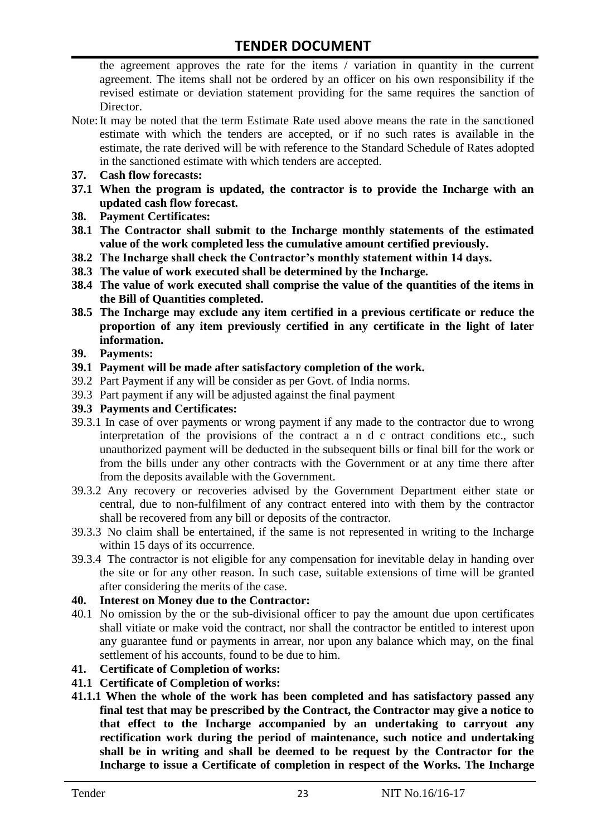the agreement approves the rate for the items / variation in quantity in the current agreement. The items shall not be ordered by an officer on his own responsibility if the revised estimate or deviation statement providing for the same requires the sanction of Director.

- Note:It may be noted that the term Estimate Rate used above means the rate in the sanctioned estimate with which the tenders are accepted, or if no such rates is available in the estimate, the rate derived will be with reference to the Standard Schedule of Rates adopted in the sanctioned estimate with which tenders are accepted.
- **37. Cash flow forecasts:**
- **37.1 When the program is updated, the contractor is to provide the Incharge with an updated cash flow forecast.**
- **38. Payment Certificates:**
- **38.1 The Contractor shall submit to the Incharge monthly statements of the estimated value of the work completed less the cumulative amount certified previously.**
- **38.2 The Incharge shall check the Contractor's monthly statement within 14 days.**
- **38.3 The value of work executed shall be determined by the Incharge.**
- **38.4 The value of work executed shall comprise the value of the quantities of the items in the Bill of Quantities completed.**
- **38.5 The Incharge may exclude any item certified in a previous certificate or reduce the proportion of any item previously certified in any certificate in the light of later information.**
- **39. Payments:**
- **39.1 Payment will be made after satisfactory completion of the work.**
- 39.2 Part Payment if any will be consider as per Govt. of India norms.
- 39.3 Part payment if any will be adjusted against the final payment
- **39.3 Payments and Certificates:**
- 39.3.1 In case of over payments or wrong payment if any made to the contractor due to wrong interpretation of the provisions of the contract a n d c ontract conditions etc., such unauthorized payment will be deducted in the subsequent bills or final bill for the work or from the bills under any other contracts with the Government or at any time there after from the deposits available with the Government.
- 39.3.2 Any recovery or recoveries advised by the Government Department either state or central, due to non-fulfilment of any contract entered into with them by the contractor shall be recovered from any bill or deposits of the contractor.
- 39.3.3 No claim shall be entertained, if the same is not represented in writing to the Incharge within 15 days of its occurrence.
- 39.3.4 The contractor is not eligible for any compensation for inevitable delay in handing over the site or for any other reason. In such case, suitable extensions of time will be granted after considering the merits of the case.

#### **40. Interest on Money due to the Contractor:**

- 40.1 No omission by the or the sub-divisional officer to pay the amount due upon certificates shall vitiate or make void the contract, nor shall the contractor be entitled to interest upon any guarantee fund or payments in arrear, nor upon any balance which may, on the final settlement of his accounts, found to be due to him.
- **41. Certificate of Completion of works:**
- **41.1 Certificate of Completion of works:**
- **41.1.1 When the whole of the work has been completed and has satisfactory passed any final test that may be prescribed by the Contract, the Contractor may give a notice to that effect to the Incharge accompanied by an undertaking to carryout any rectification work during the period of maintenance, such notice and undertaking shall be in writing and shall be deemed to be request by the Contractor for the Incharge to issue a Certificate of completion in respect of the Works. The Incharge**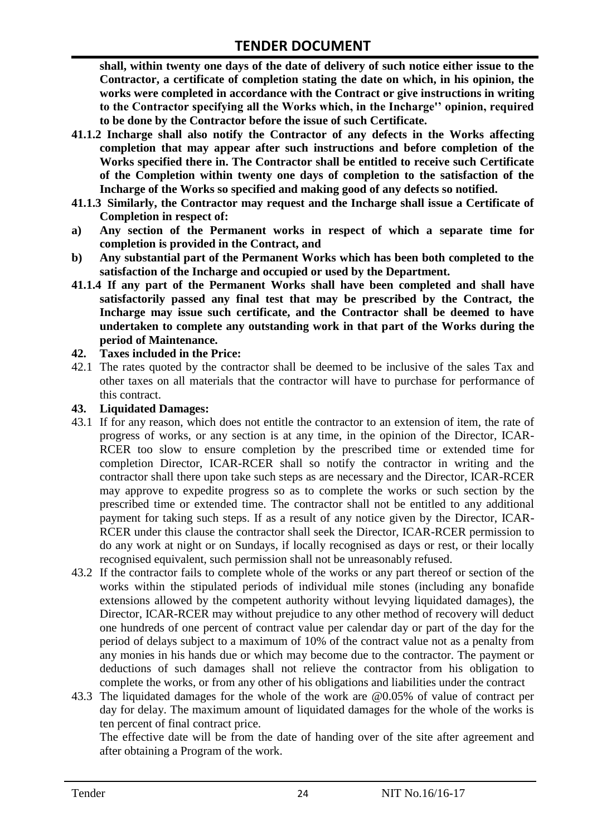**shall, within twenty one days of the date of delivery of such notice either issue to the Contractor, a certificate of completion stating the date on which, in his opinion, the works were completed in accordance with the Contract or give instructions in writing to the Contractor specifying all the Works which, in the Incharge'' opinion, required to be done by the Contractor before the issue of such Certificate.**

- **41.1.2 Incharge shall also notify the Contractor of any defects in the Works affecting completion that may appear after such instructions and before completion of the Works specified there in. The Contractor shall be entitled to receive such Certificate of the Completion within twenty one days of completion to the satisfaction of the Incharge of the Works so specified and making good of any defects so notified.**
- **41.1.3 Similarly, the Contractor may request and the Incharge shall issue a Certificate of Completion in respect of:**
- **a) Any section of the Permanent works in respect of which a separate time for completion is provided in the Contract, and**
- **b) Any substantial part of the Permanent Works which has been both completed to the satisfaction of the Incharge and occupied or used by the Department.**
- **41.1.4 If any part of the Permanent Works shall have been completed and shall have satisfactorily passed any final test that may be prescribed by the Contract, the Incharge may issue such certificate, and the Contractor shall be deemed to have undertaken to complete any outstanding work in that part of the Works during the period of Maintenance.**

#### **42. Taxes included in the Price:**

42.1 The rates quoted by the contractor shall be deemed to be inclusive of the sales Tax and other taxes on all materials that the contractor will have to purchase for performance of this contract.

#### **43. Liquidated Damages:**

- 43.1 If for any reason, which does not entitle the contractor to an extension of item, the rate of progress of works, or any section is at any time, in the opinion of the Director, ICAR-RCER too slow to ensure completion by the prescribed time or extended time for completion Director, ICAR-RCER shall so notify the contractor in writing and the contractor shall there upon take such steps as are necessary and the Director, ICAR-RCER may approve to expedite progress so as to complete the works or such section by the prescribed time or extended time. The contractor shall not be entitled to any additional payment for taking such steps. If as a result of any notice given by the Director, ICAR-RCER under this clause the contractor shall seek the Director, ICAR-RCER permission to do any work at night or on Sundays, if locally recognised as days or rest, or their locally recognised equivalent, such permission shall not be unreasonably refused.
- 43.2 If the contractor fails to complete whole of the works or any part thereof or section of the works within the stipulated periods of individual mile stones (including any bonafide extensions allowed by the competent authority without levying liquidated damages), the Director, ICAR-RCER may without prejudice to any other method of recovery will deduct one hundreds of one percent of contract value per calendar day or part of the day for the period of delays subject to a maximum of 10% of the contract value not as a penalty from any monies in his hands due or which may become due to the contractor. The payment or deductions of such damages shall not relieve the contractor from his obligation to complete the works, or from any other of his obligations and liabilities under the contract
- 43.3 The liquidated damages for the whole of the work are @0.05% of value of contract per day for delay. The maximum amount of liquidated damages for the whole of the works is ten percent of final contract price.

The effective date will be from the date of handing over of the site after agreement and after obtaining a Program of the work.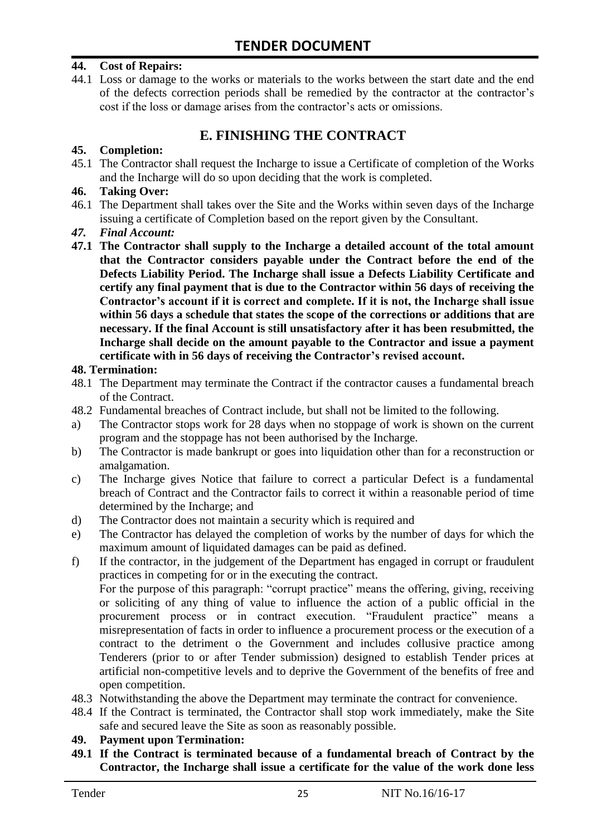#### **44. Cost of Repairs:**

44.1 Loss or damage to the works or materials to the works between the start date and the end of the defects correction periods shall be remedied by the contractor at the contractor"s cost if the loss or damage arises from the contractor's acts or omissions.

# **E. FINISHING THE CONTRACT**

#### **45. Completion:**

45.1 The Contractor shall request the Incharge to issue a Certificate of completion of the Works and the Incharge will do so upon deciding that the work is completed.

#### **46. Taking Over:**

- 46.1 The Department shall takes over the Site and the Works within seven days of the Incharge issuing a certificate of Completion based on the report given by the Consultant.
- *47. Final Account:*
- **47.1 The Contractor shall supply to the Incharge a detailed account of the total amount that the Contractor considers payable under the Contract before the end of the Defects Liability Period. The Incharge shall issue a Defects Liability Certificate and certify any final payment that is due to the Contractor within 56 days of receiving the Contractor's account if it is correct and complete. If it is not, the Incharge shall issue within 56 days a schedule that states the scope of the corrections or additions that are necessary. If the final Account is still unsatisfactory after it has been resubmitted, the Incharge shall decide on the amount payable to the Contractor and issue a payment certificate with in 56 days of receiving the Contractor's revised account.**

#### **48. Termination:**

- 48.1 The Department may terminate the Contract if the contractor causes a fundamental breach of the Contract.
- 48.2 Fundamental breaches of Contract include, but shall not be limited to the following.
- a) The Contractor stops work for 28 days when no stoppage of work is shown on the current program and the stoppage has not been authorised by the Incharge.
- b) The Contractor is made bankrupt or goes into liquidation other than for a reconstruction or amalgamation.
- c) The Incharge gives Notice that failure to correct a particular Defect is a fundamental breach of Contract and the Contractor fails to correct it within a reasonable period of time determined by the Incharge; and
- d) The Contractor does not maintain a security which is required and
- e) The Contractor has delayed the completion of works by the number of days for which the maximum amount of liquidated damages can be paid as defined.
- f) If the contractor, in the judgement of the Department has engaged in corrupt or fraudulent practices in competing for or in the executing the contract.

For the purpose of this paragraph: "corrupt practice" means the offering, giving, receiving or soliciting of any thing of value to influence the action of a public official in the procurement process or in contract execution. "Fraudulent practice" means a misrepresentation of facts in order to influence a procurement process or the execution of a contract to the detriment o the Government and includes collusive practice among Tenderers (prior to or after Tender submission) designed to establish Tender prices at artificial non-competitive levels and to deprive the Government of the benefits of free and open competition.

- 48.3 Notwithstanding the above the Department may terminate the contract for convenience.
- 48.4 If the Contract is terminated, the Contractor shall stop work immediately, make the Site safe and secured leave the Site as soon as reasonably possible.

#### **49. Payment upon Termination:**

**49.1 If the Contract is terminated because of a fundamental breach of Contract by the Contractor, the Incharge shall issue a certificate for the value of the work done less**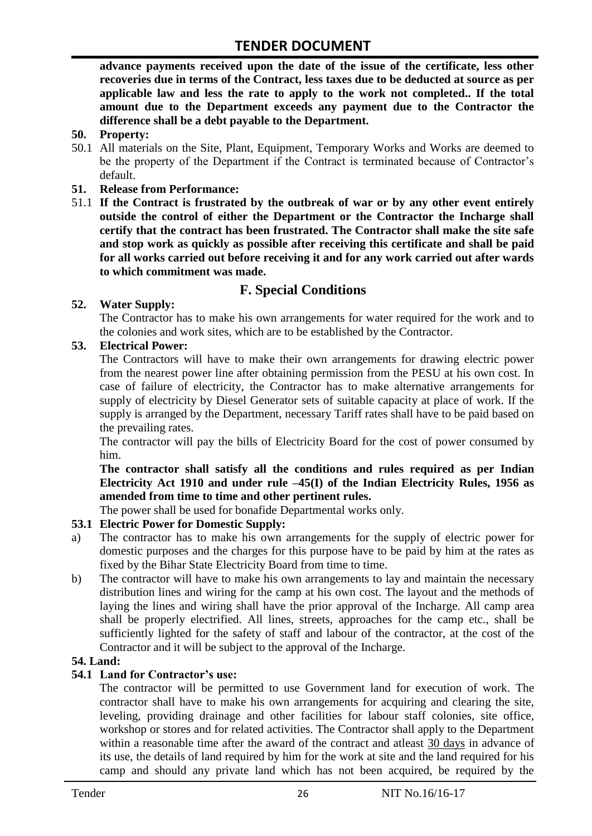**advance payments received upon the date of the issue of the certificate, less other recoveries due in terms of the Contract, less taxes due to be deducted at source as per applicable law and less the rate to apply to the work not completed.. If the total amount due to the Department exceeds any payment due to the Contractor the difference shall be a debt payable to the Department.**

- **50. Property:**
- 50.1 All materials on the Site, Plant, Equipment, Temporary Works and Works are deemed to be the property of the Department if the Contract is terminated because of Contractor's default.
- **51. Release from Performance:**
- 51.1 **If the Contract is frustrated by the outbreak of war or by any other event entirely outside the control of either the Department or the Contractor the Incharge shall certify that the contract has been frustrated. The Contractor shall make the site safe and stop work as quickly as possible after receiving this certificate and shall be paid for all works carried out before receiving it and for any work carried out after wards to which commitment was made.**

# **F. Special Conditions**

#### **52. Water Supply:**

The Contractor has to make his own arrangements for water required for the work and to the colonies and work sites, which are to be established by the Contractor.

#### **53. Electrical Power:**

The Contractors will have to make their own arrangements for drawing electric power from the nearest power line after obtaining permission from the PESU at his own cost. In case of failure of electricity, the Contractor has to make alternative arrangements for supply of electricity by Diesel Generator sets of suitable capacity at place of work. If the supply is arranged by the Department, necessary Tariff rates shall have to be paid based on the prevailing rates.

The contractor will pay the bills of Electricity Board for the cost of power consumed by him.

**The contractor shall satisfy all the conditions and rules required as per Indian Electricity Act 1910 and under rule –45(I) of the Indian Electricity Rules, 1956 as amended from time to time and other pertinent rules.**

The power shall be used for bonafide Departmental works only.

### **53.1 Electric Power for Domestic Supply:**

- a) The contractor has to make his own arrangements for the supply of electric power for domestic purposes and the charges for this purpose have to be paid by him at the rates as fixed by the Bihar State Electricity Board from time to time.
- b) The contractor will have to make his own arrangements to lay and maintain the necessary distribution lines and wiring for the camp at his own cost. The layout and the methods of laying the lines and wiring shall have the prior approval of the Incharge. All camp area shall be properly electrified. All lines, streets, approaches for the camp etc., shall be sufficiently lighted for the safety of staff and labour of the contractor, at the cost of the Contractor and it will be subject to the approval of the Incharge.

### **54. Land:**

#### **54.1 Land for Contractor's use:**

The contractor will be permitted to use Government land for execution of work. The contractor shall have to make his own arrangements for acquiring and clearing the site, leveling, providing drainage and other facilities for labour staff colonies, site office, workshop or stores and for related activities. The Contractor shall apply to the Department within a reasonable time after the award of the contract and atleast 30 days in advance of its use, the details of land required by him for the work at site and the land required for his camp and should any private land which has not been acquired, be required by the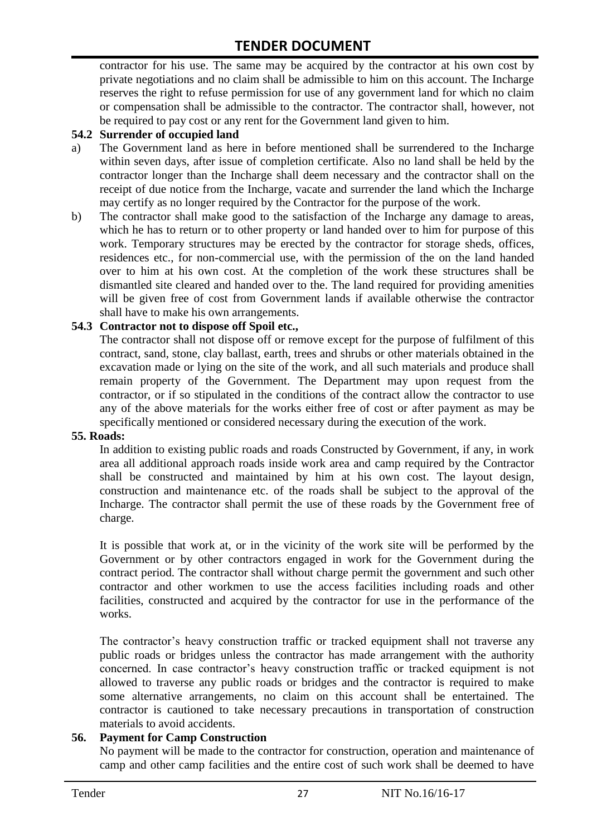contractor for his use. The same may be acquired by the contractor at his own cost by private negotiations and no claim shall be admissible to him on this account. The Incharge reserves the right to refuse permission for use of any government land for which no claim or compensation shall be admissible to the contractor. The contractor shall, however, not be required to pay cost or any rent for the Government land given to him.

#### **54.2 Surrender of occupied land**

- a) The Government land as here in before mentioned shall be surrendered to the Incharge within seven days, after issue of completion certificate. Also no land shall be held by the contractor longer than the Incharge shall deem necessary and the contractor shall on the receipt of due notice from the Incharge, vacate and surrender the land which the Incharge may certify as no longer required by the Contractor for the purpose of the work.
- b) The contractor shall make good to the satisfaction of the Incharge any damage to areas, which he has to return or to other property or land handed over to him for purpose of this work. Temporary structures may be erected by the contractor for storage sheds, offices, residences etc., for non-commercial use, with the permission of the on the land handed over to him at his own cost. At the completion of the work these structures shall be dismantled site cleared and handed over to the. The land required for providing amenities will be given free of cost from Government lands if available otherwise the contractor shall have to make his own arrangements.

#### **54.3 Contractor not to dispose off Spoil etc.,**

The contractor shall not dispose off or remove except for the purpose of fulfilment of this contract, sand, stone, clay ballast, earth, trees and shrubs or other materials obtained in the excavation made or lying on the site of the work, and all such materials and produce shall remain property of the Government. The Department may upon request from the contractor, or if so stipulated in the conditions of the contract allow the contractor to use any of the above materials for the works either free of cost or after payment as may be specifically mentioned or considered necessary during the execution of the work.

#### **55. Roads:**

In addition to existing public roads and roads Constructed by Government, if any, in work area all additional approach roads inside work area and camp required by the Contractor shall be constructed and maintained by him at his own cost. The layout design, construction and maintenance etc. of the roads shall be subject to the approval of the Incharge. The contractor shall permit the use of these roads by the Government free of charge.

It is possible that work at, or in the vicinity of the work site will be performed by the Government or by other contractors engaged in work for the Government during the contract period. The contractor shall without charge permit the government and such other contractor and other workmen to use the access facilities including roads and other facilities, constructed and acquired by the contractor for use in the performance of the works.

The contractor's heavy construction traffic or tracked equipment shall not traverse any public roads or bridges unless the contractor has made arrangement with the authority concerned. In case contractor"s heavy construction traffic or tracked equipment is not allowed to traverse any public roads or bridges and the contractor is required to make some alternative arrangements, no claim on this account shall be entertained. The contractor is cautioned to take necessary precautions in transportation of construction materials to avoid accidents.

#### **56. Payment for Camp Construction**

No payment will be made to the contractor for construction, operation and maintenance of camp and other camp facilities and the entire cost of such work shall be deemed to have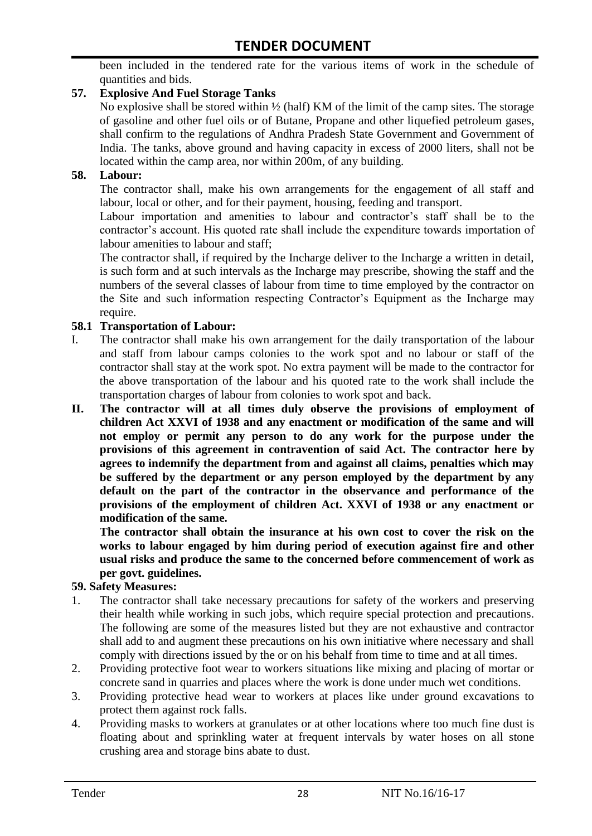been included in the tendered rate for the various items of work in the schedule of quantities and bids.

#### **57. Explosive And Fuel Storage Tanks**

No explosive shall be stored within ½ (half) KM of the limit of the camp sites. The storage of gasoline and other fuel oils or of Butane, Propane and other liquefied petroleum gases, shall confirm to the regulations of Andhra Pradesh State Government and Government of India. The tanks, above ground and having capacity in excess of 2000 liters, shall not be located within the camp area, nor within 200m, of any building.

#### **58. Labour:**

The contractor shall, make his own arrangements for the engagement of all staff and labour, local or other, and for their payment, housing, feeding and transport.

Labour importation and amenities to labour and contractor's staff shall be to the contractor's account. His quoted rate shall include the expenditure towards importation of labour amenities to labour and staff;

The contractor shall, if required by the Incharge deliver to the Incharge a written in detail, is such form and at such intervals as the Incharge may prescribe, showing the staff and the numbers of the several classes of labour from time to time employed by the contractor on the Site and such information respecting Contractor"s Equipment as the Incharge may require.

#### **58.1 Transportation of Labour:**

- I. The contractor shall make his own arrangement for the daily transportation of the labour and staff from labour camps colonies to the work spot and no labour or staff of the contractor shall stay at the work spot. No extra payment will be made to the contractor for the above transportation of the labour and his quoted rate to the work shall include the transportation charges of labour from colonies to work spot and back.
- **II. The contractor will at all times duly observe the provisions of employment of children Act XXVI of 1938 and any enactment or modification of the same and will not employ or permit any person to do any work for the purpose under the provisions of this agreement in contravention of said Act. The contractor here by agrees to indemnify the department from and against all claims, penalties which may be suffered by the department or any person employed by the department by any default on the part of the contractor in the observance and performance of the provisions of the employment of children Act. XXVI of 1938 or any enactment or modification of the same.**

**The contractor shall obtain the insurance at his own cost to cover the risk on the works to labour engaged by him during period of execution against fire and other usual risks and produce the same to the concerned before commencement of work as per govt. guidelines.**

#### **59. Safety Measures:**

- 1. The contractor shall take necessary precautions for safety of the workers and preserving their health while working in such jobs, which require special protection and precautions. The following are some of the measures listed but they are not exhaustive and contractor shall add to and augment these precautions on his own initiative where necessary and shall comply with directions issued by the or on his behalf from time to time and at all times.
- 2. Providing protective foot wear to workers situations like mixing and placing of mortar or concrete sand in quarries and places where the work is done under much wet conditions.
- 3. Providing protective head wear to workers at places like under ground excavations to protect them against rock falls.
- 4. Providing masks to workers at granulates or at other locations where too much fine dust is floating about and sprinkling water at frequent intervals by water hoses on all stone crushing area and storage bins abate to dust.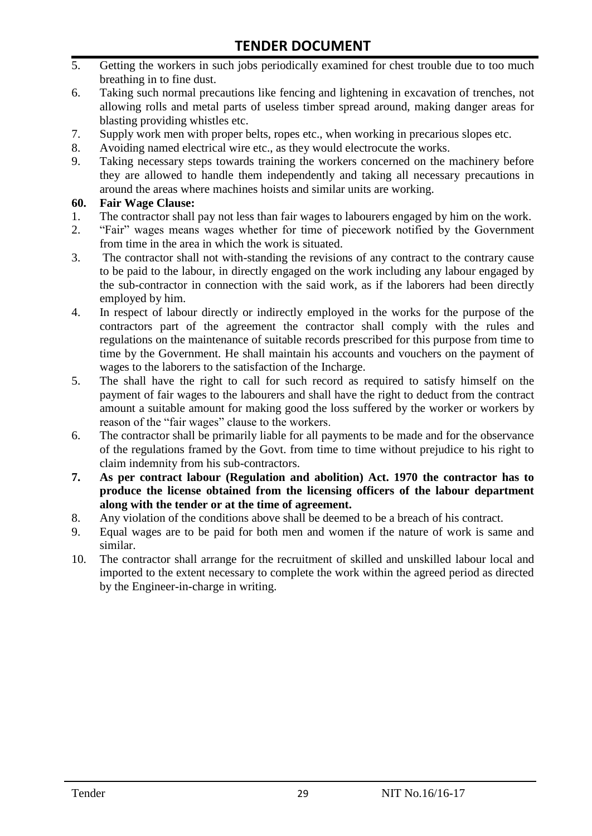- 5. Getting the workers in such jobs periodically examined for chest trouble due to too much breathing in to fine dust.
- 6. Taking such normal precautions like fencing and lightening in excavation of trenches, not allowing rolls and metal parts of useless timber spread around, making danger areas for blasting providing whistles etc.
- 7. Supply work men with proper belts, ropes etc., when working in precarious slopes etc.
- 8. Avoiding named electrical wire etc., as they would electrocute the works.
- 9. Taking necessary steps towards training the workers concerned on the machinery before they are allowed to handle them independently and taking all necessary precautions in around the areas where machines hoists and similar units are working.

#### **60. Fair Wage Clause:**

- 1. The contractor shall pay not less than fair wages to labourers engaged by him on the work.
- 2. "Fair" wages means wages whether for time of piecework notified by the Government from time in the area in which the work is situated.
- 3. The contractor shall not with-standing the revisions of any contract to the contrary cause to be paid to the labour, in directly engaged on the work including any labour engaged by the sub-contractor in connection with the said work, as if the laborers had been directly employed by him.
- 4. In respect of labour directly or indirectly employed in the works for the purpose of the contractors part of the agreement the contractor shall comply with the rules and regulations on the maintenance of suitable records prescribed for this purpose from time to time by the Government. He shall maintain his accounts and vouchers on the payment of wages to the laborers to the satisfaction of the Incharge.
- 5. The shall have the right to call for such record as required to satisfy himself on the payment of fair wages to the labourers and shall have the right to deduct from the contract amount a suitable amount for making good the loss suffered by the worker or workers by reason of the "fair wages" clause to the workers.
- 6. The contractor shall be primarily liable for all payments to be made and for the observance of the regulations framed by the Govt. from time to time without prejudice to his right to claim indemnity from his sub-contractors.
- **7. As per contract labour (Regulation and abolition) Act. 1970 the contractor has to produce the license obtained from the licensing officers of the labour department along with the tender or at the time of agreement.**
- 8. Any violation of the conditions above shall be deemed to be a breach of his contract.
- 9. Equal wages are to be paid for both men and women if the nature of work is same and similar.
- 10. The contractor shall arrange for the recruitment of skilled and unskilled labour local and imported to the extent necessary to complete the work within the agreed period as directed by the Engineer-in-charge in writing.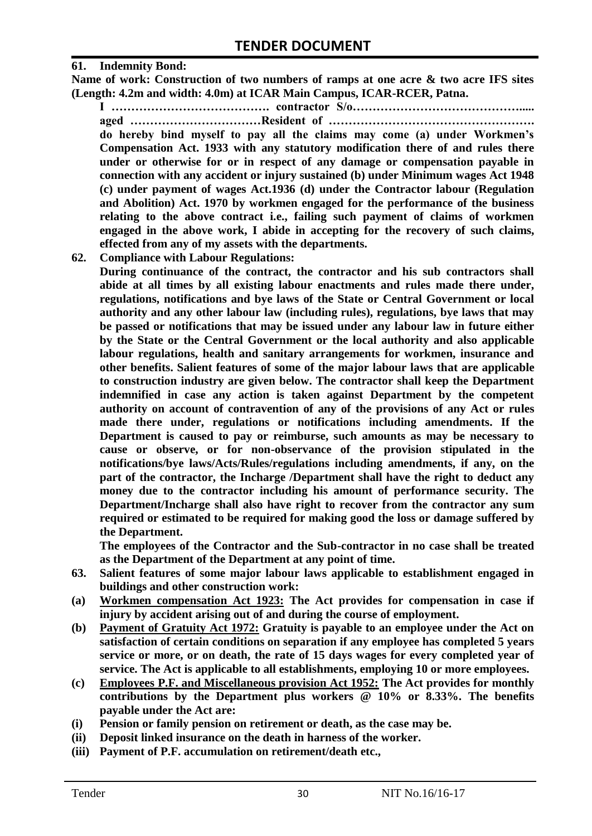#### **61. Indemnity Bond:**

**Name of work: Construction of two numbers of ramps at one acre & two acre IFS sites (Length: 4.2m and width: 4.0m) at ICAR Main Campus, ICAR-RCER, Patna.**

**I …………………………………. contractor S/o……………………………………..... aged ……………………………Resident of …………………………………………….** 

**do hereby bind myself to pay all the claims may come (a) under Workmen's Compensation Act. 1933 with any statutory modification there of and rules there under or otherwise for or in respect of any damage or compensation payable in connection with any accident or injury sustained (b) under Minimum wages Act 1948 (c) under payment of wages Act.1936 (d) under the Contractor labour (Regulation and Abolition) Act. 1970 by workmen engaged for the performance of the business relating to the above contract i.e., failing such payment of claims of workmen engaged in the above work, I abide in accepting for the recovery of such claims, effected from any of my assets with the departments.**

**62. Compliance with Labour Regulations:**

**During continuance of the contract, the contractor and his sub contractors shall abide at all times by all existing labour enactments and rules made there under, regulations, notifications and bye laws of the State or Central Government or local authority and any other labour law (including rules), regulations, bye laws that may be passed or notifications that may be issued under any labour law in future either by the State or the Central Government or the local authority and also applicable labour regulations, health and sanitary arrangements for workmen, insurance and other benefits. Salient features of some of the major labour laws that are applicable to construction industry are given below. The contractor shall keep the Department indemnified in case any action is taken against Department by the competent authority on account of contravention of any of the provisions of any Act or rules made there under, regulations or notifications including amendments. If the Department is caused to pay or reimburse, such amounts as may be necessary to cause or observe, or for non-observance of the provision stipulated in the notifications/bye laws/Acts/Rules/regulations including amendments, if any, on the part of the contractor, the Incharge /Department shall have the right to deduct any money due to the contractor including his amount of performance security. The Department/Incharge shall also have right to recover from the contractor any sum required or estimated to be required for making good the loss or damage suffered by the Department.**

**The employees of the Contractor and the Sub-contractor in no case shall be treated as the Department of the Department at any point of time.**

- **63. Salient features of some major labour laws applicable to establishment engaged in buildings and other construction work:**
- **(a) Workmen compensation Act 1923: The Act provides for compensation in case if injury by accident arising out of and during the course of employment.**
- **(b) Payment of Gratuity Act 1972: Gratuity is payable to an employee under the Act on satisfaction of certain conditions on separation if any employee has completed 5 years service or more, or on death, the rate of 15 days wages for every completed year of service. The Act is applicable to all establishments, employing 10 or more employees.**
- **(c) Employees P.F. and Miscellaneous provision Act 1952: The Act provides for monthly contributions by the Department plus workers @ 10% or 8.33%. The benefits payable under the Act are:**
- **(i) Pension or family pension on retirement or death, as the case may be.**
- **(ii) Deposit linked insurance on the death in harness of the worker.**
- **(iii) Payment of P.F. accumulation on retirement/death etc.,**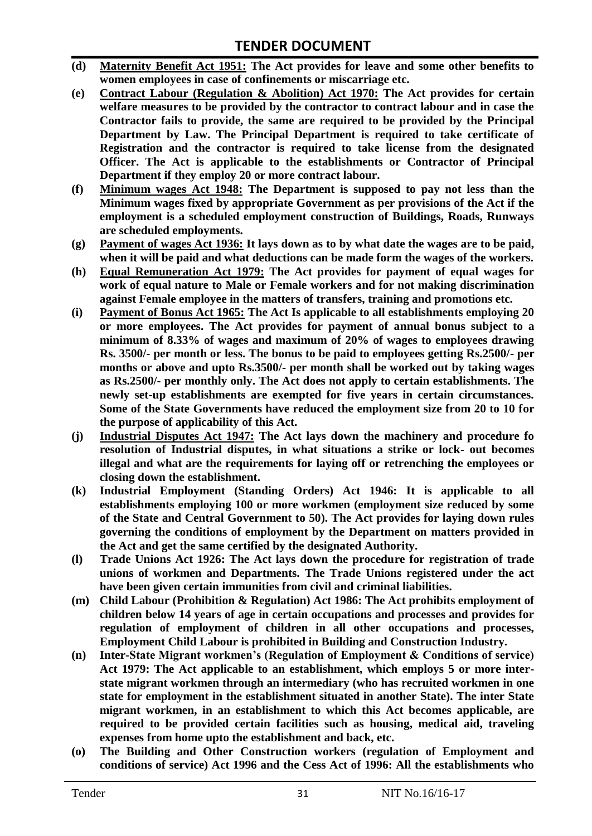- **(d) Maternity Benefit Act 1951: The Act provides for leave and some other benefits to women employees in case of confinements or miscarriage etc.**
- **(e) Contract Labour (Regulation & Abolition) Act 1970: The Act provides for certain welfare measures to be provided by the contractor to contract labour and in case the Contractor fails to provide, the same are required to be provided by the Principal Department by Law. The Principal Department is required to take certificate of Registration and the contractor is required to take license from the designated Officer. The Act is applicable to the establishments or Contractor of Principal Department if they employ 20 or more contract labour.**
- **(f) Minimum wages Act 1948: The Department is supposed to pay not less than the Minimum wages fixed by appropriate Government as per provisions of the Act if the employment is a scheduled employment construction of Buildings, Roads, Runways are scheduled employments.**
- **(g) Payment of wages Act 1936: It lays down as to by what date the wages are to be paid, when it will be paid and what deductions can be made form the wages of the workers.**
- **(h) Equal Remuneration Act 1979: The Act provides for payment of equal wages for work of equal nature to Male or Female workers and for not making discrimination against Female employee in the matters of transfers, training and promotions etc.**
- **(i) Payment of Bonus Act 1965: The Act Is applicable to all establishments employing 20 or more employees. The Act provides for payment of annual bonus subject to a minimum of 8.33% of wages and maximum of 20% of wages to employees drawing Rs. 3500/- per month or less. The bonus to be paid to employees getting Rs.2500/- per months or above and upto Rs.3500/- per month shall be worked out by taking wages as Rs.2500/- per monthly only. The Act does not apply to certain establishments. The newly set-up establishments are exempted for five years in certain circumstances. Some of the State Governments have reduced the employment size from 20 to 10 for the purpose of applicability of this Act.**
- **(j) Industrial Disputes Act 1947: The Act lays down the machinery and procedure fo resolution of Industrial disputes, in what situations a strike or lock- out becomes illegal and what are the requirements for laying off or retrenching the employees or closing down the establishment.**
- **(k) Industrial Employment (Standing Orders) Act 1946: It is applicable to all establishments employing 100 or more workmen (employment size reduced by some of the State and Central Government to 50). The Act provides for laying down rules governing the conditions of employment by the Department on matters provided in the Act and get the same certified by the designated Authority.**
- **(l) Trade Unions Act 1926: The Act lays down the procedure for registration of trade unions of workmen and Departments. The Trade Unions registered under the act have been given certain immunities from civil and criminal liabilities.**
- **(m) Child Labour (Prohibition & Regulation) Act 1986: The Act prohibits employment of children below 14 years of age in certain occupations and processes and provides for regulation of employment of children in all other occupations and processes, Employment Child Labour is prohibited in Building and Construction Industry.**
- **(n) Inter-State Migrant workmen's (Regulation of Employment & Conditions of service) Act 1979: The Act applicable to an establishment, which employs 5 or more interstate migrant workmen through an intermediary (who has recruited workmen in one state for employment in the establishment situated in another State). The inter State migrant workmen, in an establishment to which this Act becomes applicable, are required to be provided certain facilities such as housing, medical aid, traveling expenses from home upto the establishment and back, etc.**
- **(o) The Building and Other Construction workers (regulation of Employment and conditions of service) Act 1996 and the Cess Act of 1996: All the establishments who**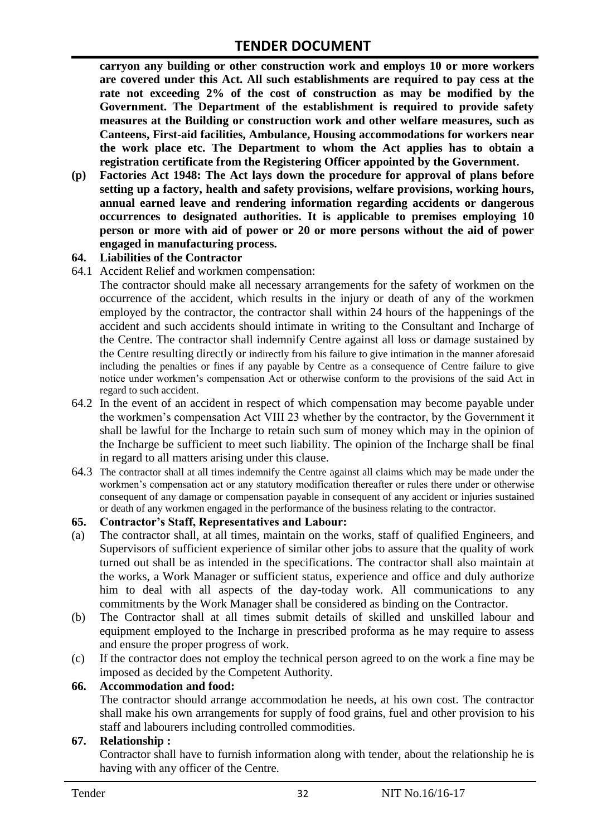**carryon any building or other construction work and employs 10 or more workers are covered under this Act. All such establishments are required to pay cess at the rate not exceeding 2% of the cost of construction as may be modified by the Government. The Department of the establishment is required to provide safety measures at the Building or construction work and other welfare measures, such as Canteens, First-aid facilities, Ambulance, Housing accommodations for workers near the work place etc. The Department to whom the Act applies has to obtain a registration certificate from the Registering Officer appointed by the Government.**

**(p) Factories Act 1948: The Act lays down the procedure for approval of plans before setting up a factory, health and safety provisions, welfare provisions, working hours, annual earned leave and rendering information regarding accidents or dangerous occurrences to designated authorities. It is applicable to premises employing 10 person or more with aid of power or 20 or more persons without the aid of power engaged in manufacturing process.**

#### **64. Liabilities of the Contractor**

64.1 Accident Relief and workmen compensation:

The contractor should make all necessary arrangements for the safety of workmen on the occurrence of the accident, which results in the injury or death of any of the workmen employed by the contractor, the contractor shall within 24 hours of the happenings of the accident and such accidents should intimate in writing to the Consultant and Incharge of the Centre. The contractor shall indemnify Centre against all loss or damage sustained by the Centre resulting directly or indirectly from his failure to give intimation in the manner aforesaid including the penalties or fines if any payable by Centre as a consequence of Centre failure to give notice under workmen"s compensation Act or otherwise conform to the provisions of the said Act in regard to such accident.

- 64.2 In the event of an accident in respect of which compensation may become payable under the workmen"s compensation Act VIII 23 whether by the contractor, by the Government it shall be lawful for the Incharge to retain such sum of money which may in the opinion of the Incharge be sufficient to meet such liability. The opinion of the Incharge shall be final in regard to all matters arising under this clause.
- 64.3 The contractor shall at all times indemnify the Centre against all claims which may be made under the workmen"s compensation act or any statutory modification thereafter or rules there under or otherwise consequent of any damage or compensation payable in consequent of any accident or injuries sustained or death of any workmen engaged in the performance of the business relating to the contractor.

#### **65. Contractor's Staff, Representatives and Labour:**

- (a) The contractor shall, at all times, maintain on the works, staff of qualified Engineers, and Supervisors of sufficient experience of similar other jobs to assure that the quality of work turned out shall be as intended in the specifications. The contractor shall also maintain at the works, a Work Manager or sufficient status, experience and office and duly authorize him to deal with all aspects of the day-today work. All communications to any commitments by the Work Manager shall be considered as binding on the Contractor.
- (b) The Contractor shall at all times submit details of skilled and unskilled labour and equipment employed to the Incharge in prescribed proforma as he may require to assess and ensure the proper progress of work.
- (c) If the contractor does not employ the technical person agreed to on the work a fine may be imposed as decided by the Competent Authority.

#### **66. Accommodation and food:**

The contractor should arrange accommodation he needs, at his own cost. The contractor shall make his own arrangements for supply of food grains, fuel and other provision to his staff and labourers including controlled commodities.

#### **67. Relationship :**

Contractor shall have to furnish information along with tender, about the relationship he is having with any officer of the Centre.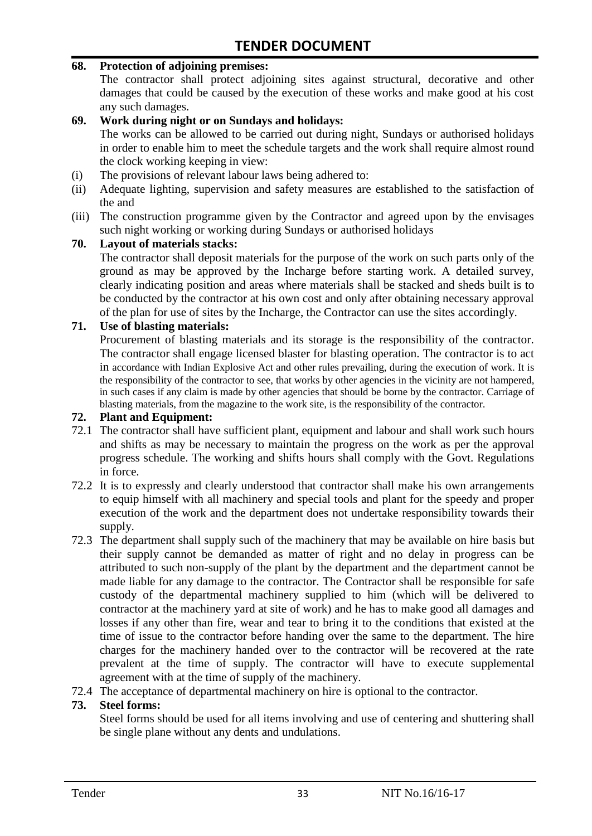#### **68. Protection of adjoining premises:**

The contractor shall protect adjoining sites against structural, decorative and other damages that could be caused by the execution of these works and make good at his cost any such damages.

#### **69. Work during night or on Sundays and holidays:**

The works can be allowed to be carried out during night, Sundays or authorised holidays in order to enable him to meet the schedule targets and the work shall require almost round the clock working keeping in view:

- (i) The provisions of relevant labour laws being adhered to:
- (ii) Adequate lighting, supervision and safety measures are established to the satisfaction of the and
- (iii) The construction programme given by the Contractor and agreed upon by the envisages such night working or working during Sundays or authorised holidays

#### **70. Layout of materials stacks:**

The contractor shall deposit materials for the purpose of the work on such parts only of the ground as may be approved by the Incharge before starting work. A detailed survey, clearly indicating position and areas where materials shall be stacked and sheds built is to be conducted by the contractor at his own cost and only after obtaining necessary approval of the plan for use of sites by the Incharge, the Contractor can use the sites accordingly.

#### **71. Use of blasting materials:**

Procurement of blasting materials and its storage is the responsibility of the contractor. The contractor shall engage licensed blaster for blasting operation. The contractor is to act in accordance with Indian Explosive Act and other rules prevailing, during the execution of work. It is the responsibility of the contractor to see, that works by other agencies in the vicinity are not hampered, in such cases if any claim is made by other agencies that should be borne by the contractor. Carriage of blasting materials, from the magazine to the work site, is the responsibility of the contractor.

#### **72. Plant and Equipment:**

- 72.1 The contractor shall have sufficient plant, equipment and labour and shall work such hours and shifts as may be necessary to maintain the progress on the work as per the approval progress schedule. The working and shifts hours shall comply with the Govt. Regulations in force.
- 72.2 It is to expressly and clearly understood that contractor shall make his own arrangements to equip himself with all machinery and special tools and plant for the speedy and proper execution of the work and the department does not undertake responsibility towards their supply.
- 72.3 The department shall supply such of the machinery that may be available on hire basis but their supply cannot be demanded as matter of right and no delay in progress can be attributed to such non-supply of the plant by the department and the department cannot be made liable for any damage to the contractor. The Contractor shall be responsible for safe custody of the departmental machinery supplied to him (which will be delivered to contractor at the machinery yard at site of work) and he has to make good all damages and losses if any other than fire, wear and tear to bring it to the conditions that existed at the time of issue to the contractor before handing over the same to the department. The hire charges for the machinery handed over to the contractor will be recovered at the rate prevalent at the time of supply. The contractor will have to execute supplemental agreement with at the time of supply of the machinery.
- 72.4 The acceptance of departmental machinery on hire is optional to the contractor.

#### **73. Steel forms:**

Steel forms should be used for all items involving and use of centering and shuttering shall be single plane without any dents and undulations.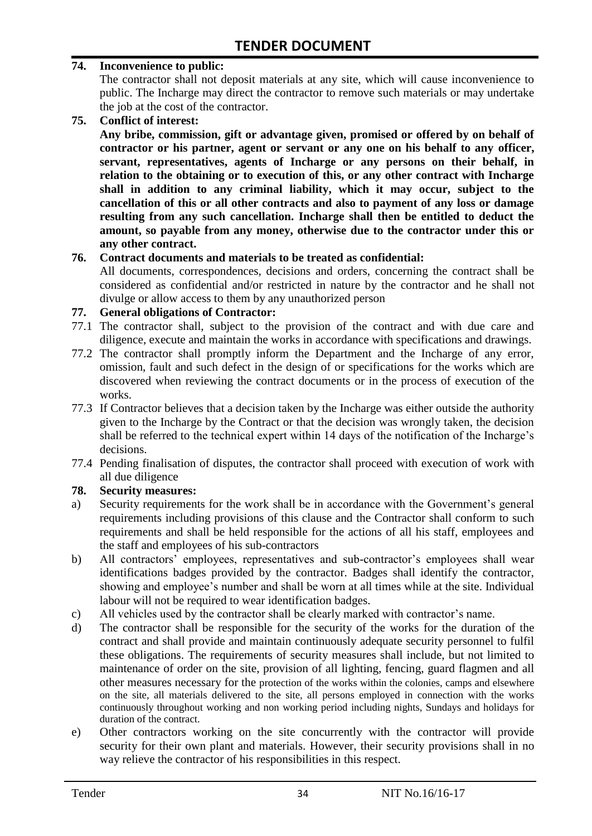#### **74. Inconvenience to public:**

The contractor shall not deposit materials at any site, which will cause inconvenience to public. The Incharge may direct the contractor to remove such materials or may undertake the job at the cost of the contractor.

**75. Conflict of interest:**

**Any bribe, commission, gift or advantage given, promised or offered by on behalf of contractor or his partner, agent or servant or any one on his behalf to any officer, servant, representatives, agents of Incharge or any persons on their behalf, in relation to the obtaining or to execution of this, or any other contract with Incharge shall in addition to any criminal liability, which it may occur, subject to the cancellation of this or all other contracts and also to payment of any loss or damage resulting from any such cancellation. Incharge shall then be entitled to deduct the amount, so payable from any money, otherwise due to the contractor under this or any other contract.**

#### **76. Contract documents and materials to be treated as confidential:**

All documents, correspondences, decisions and orders, concerning the contract shall be considered as confidential and/or restricted in nature by the contractor and he shall not divulge or allow access to them by any unauthorized person

#### **77. General obligations of Contractor:**

- 77.1 The contractor shall, subject to the provision of the contract and with due care and diligence, execute and maintain the works in accordance with specifications and drawings.
- 77.2 The contractor shall promptly inform the Department and the Incharge of any error, omission, fault and such defect in the design of or specifications for the works which are discovered when reviewing the contract documents or in the process of execution of the works.
- 77.3 If Contractor believes that a decision taken by the Incharge was either outside the authority given to the Incharge by the Contract or that the decision was wrongly taken, the decision shall be referred to the technical expert within 14 days of the notification of the Incharge's decisions.
- 77.4 Pending finalisation of disputes, the contractor shall proceed with execution of work with all due diligence

#### **78. Security measures:**

- a) Security requirements for the work shall be in accordance with the Government's general requirements including provisions of this clause and the Contractor shall conform to such requirements and shall be held responsible for the actions of all his staff, employees and the staff and employees of his sub-contractors
- b) All contractors' employees, representatives and sub-contractor's employees shall wear identifications badges provided by the contractor. Badges shall identify the contractor, showing and employee"s number and shall be worn at all times while at the site. Individual labour will not be required to wear identification badges.
- c) All vehicles used by the contractor shall be clearly marked with contractor"s name.
- d) The contractor shall be responsible for the security of the works for the duration of the contract and shall provide and maintain continuously adequate security personnel to fulfil these obligations. The requirements of security measures shall include, but not limited to maintenance of order on the site, provision of all lighting, fencing, guard flagmen and all other measures necessary for the protection of the works within the colonies, camps and elsewhere on the site, all materials delivered to the site, all persons employed in connection with the works continuously throughout working and non working period including nights, Sundays and holidays for duration of the contract.
- e) Other contractors working on the site concurrently with the contractor will provide security for their own plant and materials. However, their security provisions shall in no way relieve the contractor of his responsibilities in this respect.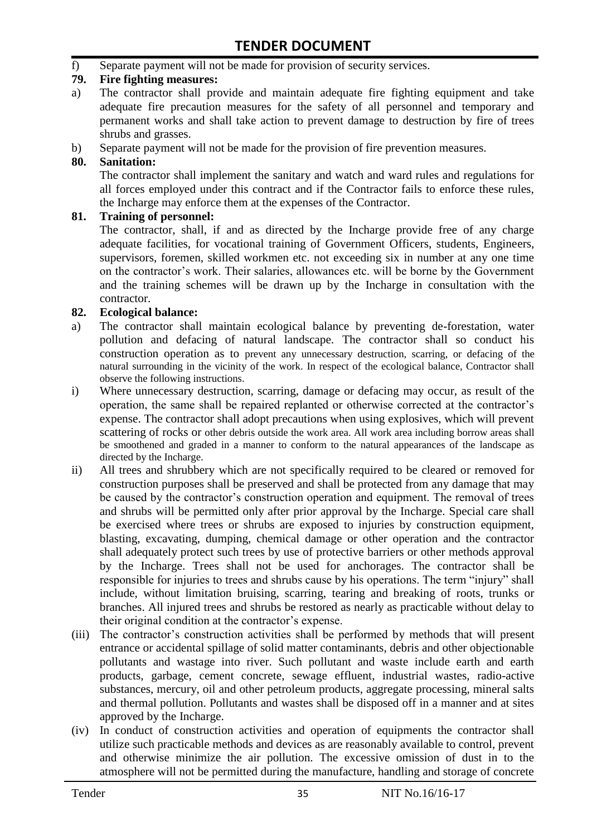f) Separate payment will not be made for provision of security services.

#### **79. Fire fighting measures:**

- a) The contractor shall provide and maintain adequate fire fighting equipment and take adequate fire precaution measures for the safety of all personnel and temporary and permanent works and shall take action to prevent damage to destruction by fire of trees shrubs and grasses.
- b) Separate payment will not be made for the provision of fire prevention measures.

#### **80. Sanitation:**

The contractor shall implement the sanitary and watch and ward rules and regulations for all forces employed under this contract and if the Contractor fails to enforce these rules, the Incharge may enforce them at the expenses of the Contractor.

#### **81. Training of personnel:**

The contractor, shall, if and as directed by the Incharge provide free of any charge adequate facilities, for vocational training of Government Officers, students, Engineers, supervisors, foremen, skilled workmen etc. not exceeding six in number at any one time on the contractor"s work. Their salaries, allowances etc. will be borne by the Government and the training schemes will be drawn up by the Incharge in consultation with the contractor.

#### **82. Ecological balance:**

- a) The contractor shall maintain ecological balance by preventing de-forestation, water pollution and defacing of natural landscape. The contractor shall so conduct his construction operation as to prevent any unnecessary destruction, scarring, or defacing of the natural surrounding in the vicinity of the work. In respect of the ecological balance, Contractor shall observe the following instructions.
- i) Where unnecessary destruction, scarring, damage or defacing may occur, as result of the operation, the same shall be repaired replanted or otherwise corrected at the contractor"s expense. The contractor shall adopt precautions when using explosives, which will prevent scattering of rocks or other debris outside the work area. All work area including borrow areas shall be smoothened and graded in a manner to conform to the natural appearances of the landscape as directed by the Incharge.
- ii) All trees and shrubbery which are not specifically required to be cleared or removed for construction purposes shall be preserved and shall be protected from any damage that may be caused by the contractor's construction operation and equipment. The removal of trees and shrubs will be permitted only after prior approval by the Incharge. Special care shall be exercised where trees or shrubs are exposed to injuries by construction equipment, blasting, excavating, dumping, chemical damage or other operation and the contractor shall adequately protect such trees by use of protective barriers or other methods approval by the Incharge. Trees shall not be used for anchorages. The contractor shall be responsible for injuries to trees and shrubs cause by his operations. The term "injury" shall include, without limitation bruising, scarring, tearing and breaking of roots, trunks or branches. All injured trees and shrubs be restored as nearly as practicable without delay to their original condition at the contractor"s expense.
- (iii) The contractor's construction activities shall be performed by methods that will present entrance or accidental spillage of solid matter contaminants, debris and other objectionable pollutants and wastage into river. Such pollutant and waste include earth and earth products, garbage, cement concrete, sewage effluent, industrial wastes, radio-active substances, mercury, oil and other petroleum products, aggregate processing, mineral salts and thermal pollution. Pollutants and wastes shall be disposed off in a manner and at sites approved by the Incharge.
- (iv) In conduct of construction activities and operation of equipments the contractor shall utilize such practicable methods and devices as are reasonably available to control, prevent and otherwise minimize the air pollution. The excessive omission of dust in to the atmosphere will not be permitted during the manufacture, handling and storage of concrete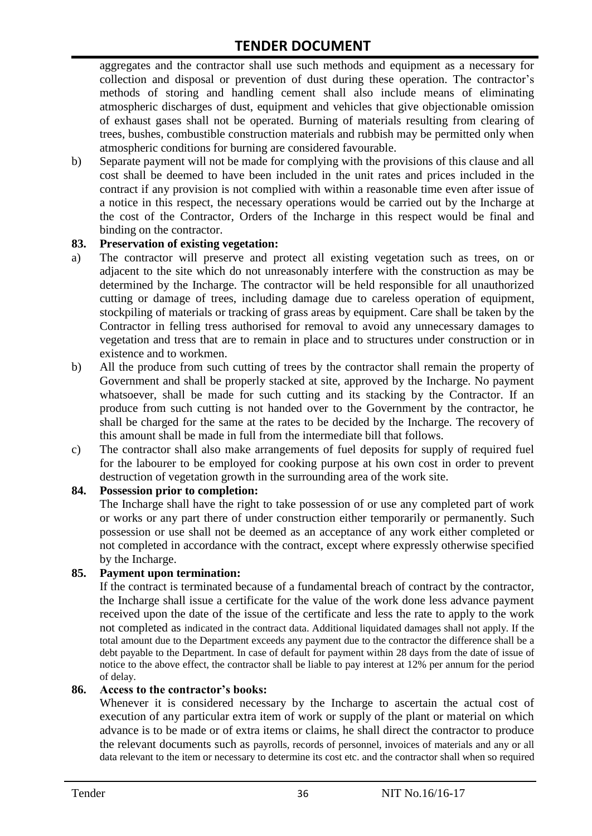aggregates and the contractor shall use such methods and equipment as a necessary for collection and disposal or prevention of dust during these operation. The contractor's methods of storing and handling cement shall also include means of eliminating atmospheric discharges of dust, equipment and vehicles that give objectionable omission of exhaust gases shall not be operated. Burning of materials resulting from clearing of trees, bushes, combustible construction materials and rubbish may be permitted only when atmospheric conditions for burning are considered favourable.

b) Separate payment will not be made for complying with the provisions of this clause and all cost shall be deemed to have been included in the unit rates and prices included in the contract if any provision is not complied with within a reasonable time even after issue of a notice in this respect, the necessary operations would be carried out by the Incharge at the cost of the Contractor, Orders of the Incharge in this respect would be final and binding on the contractor.

#### **83. Preservation of existing vegetation:**

- a) The contractor will preserve and protect all existing vegetation such as trees, on or adjacent to the site which do not unreasonably interfere with the construction as may be determined by the Incharge. The contractor will be held responsible for all unauthorized cutting or damage of trees, including damage due to careless operation of equipment, stockpiling of materials or tracking of grass areas by equipment. Care shall be taken by the Contractor in felling tress authorised for removal to avoid any unnecessary damages to vegetation and tress that are to remain in place and to structures under construction or in existence and to workmen.
- b) All the produce from such cutting of trees by the contractor shall remain the property of Government and shall be properly stacked at site, approved by the Incharge. No payment whatsoever, shall be made for such cutting and its stacking by the Contractor. If an produce from such cutting is not handed over to the Government by the contractor, he shall be charged for the same at the rates to be decided by the Incharge. The recovery of this amount shall be made in full from the intermediate bill that follows.
- c) The contractor shall also make arrangements of fuel deposits for supply of required fuel for the labourer to be employed for cooking purpose at his own cost in order to prevent destruction of vegetation growth in the surrounding area of the work site.

#### **84. Possession prior to completion:**

The Incharge shall have the right to take possession of or use any completed part of work or works or any part there of under construction either temporarily or permanently. Such possession or use shall not be deemed as an acceptance of any work either completed or not completed in accordance with the contract, except where expressly otherwise specified by the Incharge.

#### **85. Payment upon termination:**

If the contract is terminated because of a fundamental breach of contract by the contractor, the Incharge shall issue a certificate for the value of the work done less advance payment received upon the date of the issue of the certificate and less the rate to apply to the work not completed as indicated in the contract data. Additional liquidated damages shall not apply. If the total amount due to the Department exceeds any payment due to the contractor the difference shall be a debt payable to the Department. In case of default for payment within 28 days from the date of issue of notice to the above effect, the contractor shall be liable to pay interest at 12% per annum for the period of delay.

#### **86. Access to the contractor's books:**

Whenever it is considered necessary by the Incharge to ascertain the actual cost of execution of any particular extra item of work or supply of the plant or material on which advance is to be made or of extra items or claims, he shall direct the contractor to produce the relevant documents such as payrolls, records of personnel, invoices of materials and any or all data relevant to the item or necessary to determine its cost etc. and the contractor shall when so required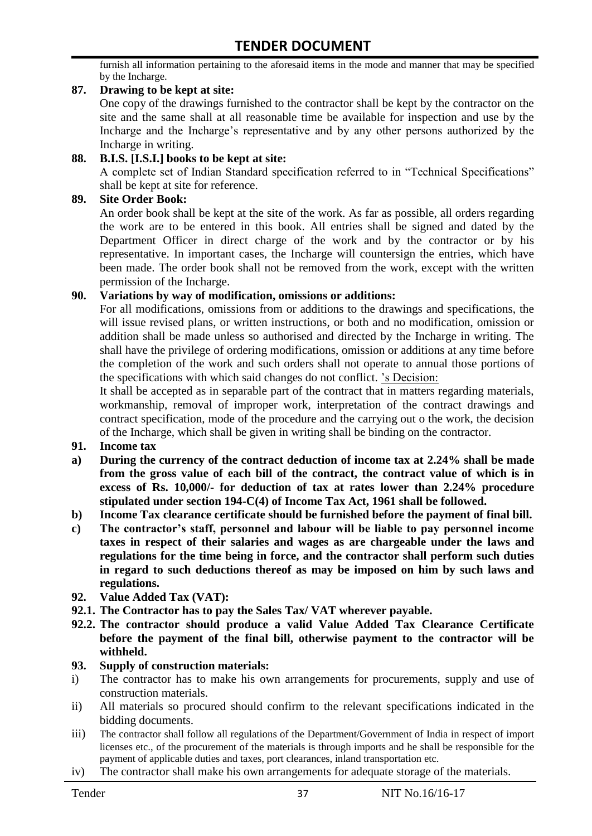furnish all information pertaining to the aforesaid items in the mode and manner that may be specified by the Incharge.

#### **87. Drawing to be kept at site:**

One copy of the drawings furnished to the contractor shall be kept by the contractor on the site and the same shall at all reasonable time be available for inspection and use by the Incharge and the Incharge"s representative and by any other persons authorized by the Incharge in writing.

#### **88. B.I.S. [I.S.I.] books to be kept at site:**

A complete set of Indian Standard specification referred to in "Technical Specifications" shall be kept at site for reference.

#### **89. Site Order Book:**

An order book shall be kept at the site of the work. As far as possible, all orders regarding the work are to be entered in this book. All entries shall be signed and dated by the Department Officer in direct charge of the work and by the contractor or by his representative. In important cases, the Incharge will countersign the entries, which have been made. The order book shall not be removed from the work, except with the written permission of the Incharge.

#### **90. Variations by way of modification, omissions or additions:**

For all modifications, omissions from or additions to the drawings and specifications, the will issue revised plans, or written instructions, or both and no modification, omission or addition shall be made unless so authorised and directed by the Incharge in writing. The shall have the privilege of ordering modifications, omission or additions at any time before the completion of the work and such orders shall not operate to annual those portions of the specifications with which said changes do not conflict. "s Decision:

It shall be accepted as in separable part of the contract that in matters regarding materials, workmanship, removal of improper work, interpretation of the contract drawings and contract specification, mode of the procedure and the carrying out o the work, the decision of the Incharge, which shall be given in writing shall be binding on the contractor.

- **91. Income tax**
- **a) During the currency of the contract deduction of income tax at 2.24% shall be made from the gross value of each bill of the contract, the contract value of which is in excess of Rs. 10,000/- for deduction of tax at rates lower than 2.24% procedure stipulated under section 194-C(4) of Income Tax Act, 1961 shall be followed.**
- **b) Income Tax clearance certificate should be furnished before the payment of final bill.**
- **c) The contractor's staff, personnel and labour will be liable to pay personnel income taxes in respect of their salaries and wages as are chargeable under the laws and regulations for the time being in force, and the contractor shall perform such duties in regard to such deductions thereof as may be imposed on him by such laws and regulations.**
- **92. Value Added Tax (VAT):**
- **92.1. The Contractor has to pay the Sales Tax/ VAT wherever payable.**
- **92.2. The contractor should produce a valid Value Added Tax Clearance Certificate before the payment of the final bill, otherwise payment to the contractor will be withheld.**

#### **93. Supply of construction materials:**

- i) The contractor has to make his own arrangements for procurements, supply and use of construction materials.
- ii) All materials so procured should confirm to the relevant specifications indicated in the bidding documents.
- iii) The contractor shall follow all regulations of the Department/Government of India in respect of import licenses etc., of the procurement of the materials is through imports and he shall be responsible for the payment of applicable duties and taxes, port clearances, inland transportation etc.
- iv) The contractor shall make his own arrangements for adequate storage of the materials.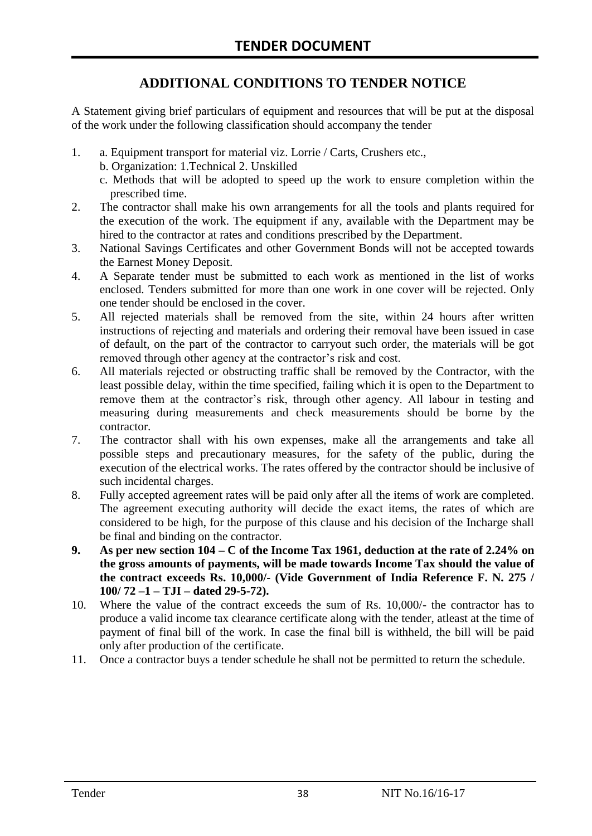# **ADDITIONAL CONDITIONS TO TENDER NOTICE**

A Statement giving brief particulars of equipment and resources that will be put at the disposal of the work under the following classification should accompany the tender

- 1. a. Equipment transport for material viz. Lorrie / Carts, Crushers etc.,
	- b. Organization: 1.Technical 2. Unskilled
	- c. Methods that will be adopted to speed up the work to ensure completion within the prescribed time.
- 2. The contractor shall make his own arrangements for all the tools and plants required for the execution of the work. The equipment if any, available with the Department may be hired to the contractor at rates and conditions prescribed by the Department.
- 3. National Savings Certificates and other Government Bonds will not be accepted towards the Earnest Money Deposit.
- 4. A Separate tender must be submitted to each work as mentioned in the list of works enclosed. Tenders submitted for more than one work in one cover will be rejected. Only one tender should be enclosed in the cover.
- 5. All rejected materials shall be removed from the site, within 24 hours after written instructions of rejecting and materials and ordering their removal have been issued in case of default, on the part of the contractor to carryout such order, the materials will be got removed through other agency at the contractor's risk and cost.
- 6. All materials rejected or obstructing traffic shall be removed by the Contractor, with the least possible delay, within the time specified, failing which it is open to the Department to remove them at the contractor's risk, through other agency. All labour in testing and measuring during measurements and check measurements should be borne by the contractor.
- 7. The contractor shall with his own expenses, make all the arrangements and take all possible steps and precautionary measures, for the safety of the public, during the execution of the electrical works. The rates offered by the contractor should be inclusive of such incidental charges.
- 8. Fully accepted agreement rates will be paid only after all the items of work are completed. The agreement executing authority will decide the exact items, the rates of which are considered to be high, for the purpose of this clause and his decision of the Incharge shall be final and binding on the contractor.
- **9. As per new section 104 – C of the Income Tax 1961, deduction at the rate of 2.24% on the gross amounts of payments, will be made towards Income Tax should the value of the contract exceeds Rs. 10,000/- (Vide Government of India Reference F. N. 275 / 100/ 72 –1 – TJI – dated 29-5-72).**
- 10. Where the value of the contract exceeds the sum of Rs. 10,000/- the contractor has to produce a valid income tax clearance certificate along with the tender, atleast at the time of payment of final bill of the work. In case the final bill is withheld, the bill will be paid only after production of the certificate.
- 11. Once a contractor buys a tender schedule he shall not be permitted to return the schedule.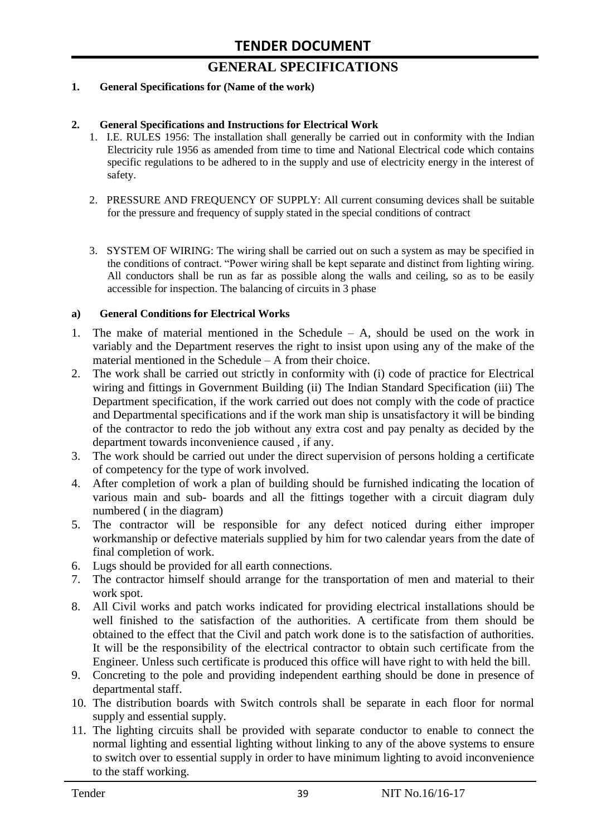# **GENERAL SPECIFICATIONS**

#### **1. General Specifications for (Name of the work)**

#### **2. General Specifications and Instructions for Electrical Work**

- 1. I.E. RULES 1956: The installation shall generally be carried out in conformity with the Indian Electricity rule 1956 as amended from time to time and National Electrical code which contains specific regulations to be adhered to in the supply and use of electricity energy in the interest of safety.
- 2. PRESSURE AND FREQUENCY OF SUPPLY: All current consuming devices shall be suitable for the pressure and frequency of supply stated in the special conditions of contract
- 3. SYSTEM OF WIRING: The wiring shall be carried out on such a system as may be specified in the conditions of contract. "Power wiring shall be kept separate and distinct from lighting wiring. All conductors shall be run as far as possible along the walls and ceiling, so as to be easily accessible for inspection. The balancing of circuits in 3 phase

#### **a) General Conditions for Electrical Works**

- 1. The make of material mentioned in the Schedule A, should be used on the work in variably and the Department reserves the right to insist upon using any of the make of the material mentioned in the Schedule – A from their choice.
- 2. The work shall be carried out strictly in conformity with (i) code of practice for Electrical wiring and fittings in Government Building (ii) The Indian Standard Specification (iii) The Department specification, if the work carried out does not comply with the code of practice and Departmental specifications and if the work man ship is unsatisfactory it will be binding of the contractor to redo the job without any extra cost and pay penalty as decided by the department towards inconvenience caused , if any.
- 3. The work should be carried out under the direct supervision of persons holding a certificate of competency for the type of work involved.
- 4. After completion of work a plan of building should be furnished indicating the location of various main and sub- boards and all the fittings together with a circuit diagram duly numbered ( in the diagram)
- 5. The contractor will be responsible for any defect noticed during either improper workmanship or defective materials supplied by him for two calendar years from the date of final completion of work.
- 6. Lugs should be provided for all earth connections.
- 7. The contractor himself should arrange for the transportation of men and material to their work spot.
- 8. All Civil works and patch works indicated for providing electrical installations should be well finished to the satisfaction of the authorities. A certificate from them should be obtained to the effect that the Civil and patch work done is to the satisfaction of authorities. It will be the responsibility of the electrical contractor to obtain such certificate from the Engineer. Unless such certificate is produced this office will have right to with held the bill.
- 9. Concreting to the pole and providing independent earthing should be done in presence of departmental staff.
- 10. The distribution boards with Switch controls shall be separate in each floor for normal supply and essential supply.
- 11. The lighting circuits shall be provided with separate conductor to enable to connect the normal lighting and essential lighting without linking to any of the above systems to ensure to switch over to essential supply in order to have minimum lighting to avoid inconvenience to the staff working.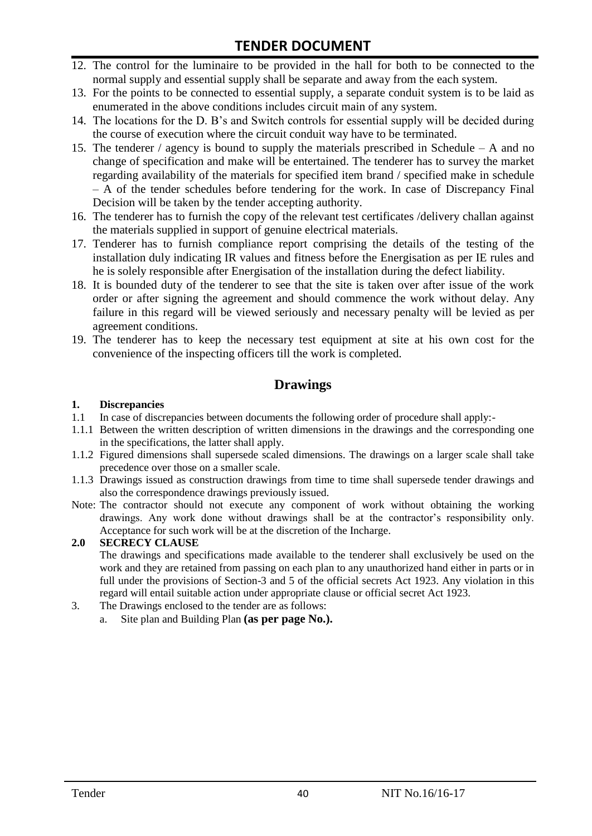- 12. The control for the luminaire to be provided in the hall for both to be connected to the normal supply and essential supply shall be separate and away from the each system.
- 13. For the points to be connected to essential supply, a separate conduit system is to be laid as enumerated in the above conditions includes circuit main of any system.
- 14. The locations for the D. B"s and Switch controls for essential supply will be decided during the course of execution where the circuit conduit way have to be terminated.
- 15. The tenderer / agency is bound to supply the materials prescribed in Schedule A and no change of specification and make will be entertained. The tenderer has to survey the market regarding availability of the materials for specified item brand / specified make in schedule – A of the tender schedules before tendering for the work. In case of Discrepancy Final Decision will be taken by the tender accepting authority.
- 16. The tenderer has to furnish the copy of the relevant test certificates /delivery challan against the materials supplied in support of genuine electrical materials.
- 17. Tenderer has to furnish compliance report comprising the details of the testing of the installation duly indicating IR values and fitness before the Energisation as per IE rules and he is solely responsible after Energisation of the installation during the defect liability.
- 18. It is bounded duty of the tenderer to see that the site is taken over after issue of the work order or after signing the agreement and should commence the work without delay. Any failure in this regard will be viewed seriously and necessary penalty will be levied as per agreement conditions.
- 19. The tenderer has to keep the necessary test equipment at site at his own cost for the convenience of the inspecting officers till the work is completed.

### **Drawings**

#### **1. Discrepancies**

- 1.1 In case of discrepancies between documents the following order of procedure shall apply:-
- 1.1.1 Between the written description of written dimensions in the drawings and the corresponding one in the specifications, the latter shall apply.
- 1.1.2 Figured dimensions shall supersede scaled dimensions. The drawings on a larger scale shall take precedence over those on a smaller scale.
- 1.1.3 Drawings issued as construction drawings from time to time shall supersede tender drawings and also the correspondence drawings previously issued.
- Note: The contractor should not execute any component of work without obtaining the working drawings. Any work done without drawings shall be at the contractor"s responsibility only. Acceptance for such work will be at the discretion of the Incharge.

#### **2.0 SECRECY CLAUSE**

The drawings and specifications made available to the tenderer shall exclusively be used on the work and they are retained from passing on each plan to any unauthorized hand either in parts or in full under the provisions of Section-3 and 5 of the official secrets Act 1923. Any violation in this regard will entail suitable action under appropriate clause or official secret Act 1923.

- 3. The Drawings enclosed to the tender are as follows:
	- a. Site plan and Building Plan **(as per page No.).**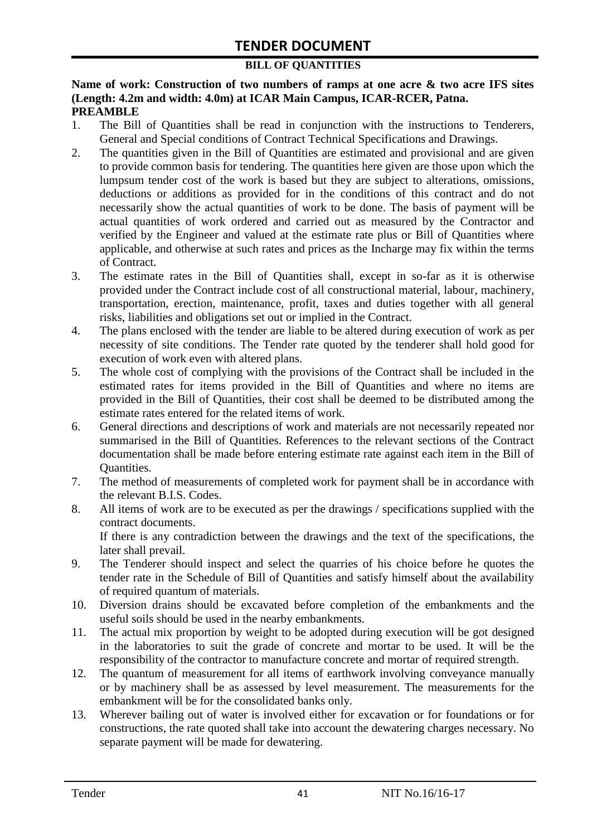#### **BILL OF QUANTITIES**

**Name of work: Construction of two numbers of ramps at one acre & two acre IFS sites (Length: 4.2m and width: 4.0m) at ICAR Main Campus, ICAR-RCER, Patna. PREAMBLE**

- 1. The Bill of Quantities shall be read in conjunction with the instructions to Tenderers, General and Special conditions of Contract Technical Specifications and Drawings.
- 2. The quantities given in the Bill of Quantities are estimated and provisional and are given to provide common basis for tendering. The quantities here given are those upon which the lumpsum tender cost of the work is based but they are subject to alterations, omissions, deductions or additions as provided for in the conditions of this contract and do not necessarily show the actual quantities of work to be done. The basis of payment will be actual quantities of work ordered and carried out as measured by the Contractor and verified by the Engineer and valued at the estimate rate plus or Bill of Quantities where applicable, and otherwise at such rates and prices as the Incharge may fix within the terms of Contract.
- 3. The estimate rates in the Bill of Quantities shall, except in so-far as it is otherwise provided under the Contract include cost of all constructional material, labour, machinery, transportation, erection, maintenance, profit, taxes and duties together with all general risks, liabilities and obligations set out or implied in the Contract.
- 4. The plans enclosed with the tender are liable to be altered during execution of work as per necessity of site conditions. The Tender rate quoted by the tenderer shall hold good for execution of work even with altered plans.
- 5. The whole cost of complying with the provisions of the Contract shall be included in the estimated rates for items provided in the Bill of Quantities and where no items are provided in the Bill of Quantities, their cost shall be deemed to be distributed among the estimate rates entered for the related items of work.
- 6. General directions and descriptions of work and materials are not necessarily repeated nor summarised in the Bill of Quantities. References to the relevant sections of the Contract documentation shall be made before entering estimate rate against each item in the Bill of Quantities.
- 7. The method of measurements of completed work for payment shall be in accordance with the relevant B.I.S. Codes.
- 8. All items of work are to be executed as per the drawings / specifications supplied with the contract documents. If there is any contradiction between the drawings and the text of the specifications, the

later shall prevail.

- 9. The Tenderer should inspect and select the quarries of his choice before he quotes the tender rate in the Schedule of Bill of Quantities and satisfy himself about the availability of required quantum of materials.
- 10. Diversion drains should be excavated before completion of the embankments and the useful soils should be used in the nearby embankments.
- 11. The actual mix proportion by weight to be adopted during execution will be got designed in the laboratories to suit the grade of concrete and mortar to be used. It will be the responsibility of the contractor to manufacture concrete and mortar of required strength.
- 12. The quantum of measurement for all items of earthwork involving conveyance manually or by machinery shall be as assessed by level measurement. The measurements for the embankment will be for the consolidated banks only.
- 13. Wherever bailing out of water is involved either for excavation or for foundations or for constructions, the rate quoted shall take into account the dewatering charges necessary. No separate payment will be made for dewatering.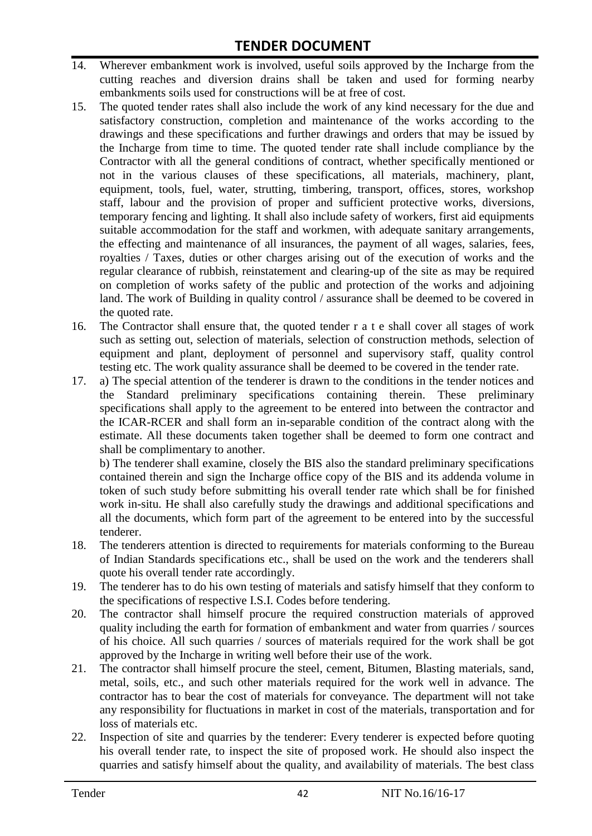- 14. Wherever embankment work is involved, useful soils approved by the Incharge from the cutting reaches and diversion drains shall be taken and used for forming nearby embankments soils used for constructions will be at free of cost.
- 15. The quoted tender rates shall also include the work of any kind necessary for the due and satisfactory construction, completion and maintenance of the works according to the drawings and these specifications and further drawings and orders that may be issued by the Incharge from time to time. The quoted tender rate shall include compliance by the Contractor with all the general conditions of contract, whether specifically mentioned or not in the various clauses of these specifications, all materials, machinery, plant, equipment, tools, fuel, water, strutting, timbering, transport, offices, stores, workshop staff, labour and the provision of proper and sufficient protective works, diversions, temporary fencing and lighting. It shall also include safety of workers, first aid equipments suitable accommodation for the staff and workmen, with adequate sanitary arrangements, the effecting and maintenance of all insurances, the payment of all wages, salaries, fees, royalties / Taxes, duties or other charges arising out of the execution of works and the regular clearance of rubbish, reinstatement and clearing-up of the site as may be required on completion of works safety of the public and protection of the works and adjoining land. The work of Building in quality control / assurance shall be deemed to be covered in the quoted rate.
- 16. The Contractor shall ensure that, the quoted tender r a t e shall cover all stages of work such as setting out, selection of materials, selection of construction methods, selection of equipment and plant, deployment of personnel and supervisory staff, quality control testing etc. The work quality assurance shall be deemed to be covered in the tender rate.
- 17. a) The special attention of the tenderer is drawn to the conditions in the tender notices and the Standard preliminary specifications containing therein. These preliminary specifications shall apply to the agreement to be entered into between the contractor and the ICAR-RCER and shall form an in-separable condition of the contract along with the estimate. All these documents taken together shall be deemed to form one contract and shall be complimentary to another.

b) The tenderer shall examine, closely the BIS also the standard preliminary specifications contained therein and sign the Incharge office copy of the BIS and its addenda volume in token of such study before submitting his overall tender rate which shall be for finished work in-situ. He shall also carefully study the drawings and additional specifications and all the documents, which form part of the agreement to be entered into by the successful tenderer.

- 18. The tenderers attention is directed to requirements for materials conforming to the Bureau of Indian Standards specifications etc., shall be used on the work and the tenderers shall quote his overall tender rate accordingly.
- 19. The tenderer has to do his own testing of materials and satisfy himself that they conform to the specifications of respective I.S.I. Codes before tendering.
- 20. The contractor shall himself procure the required construction materials of approved quality including the earth for formation of embankment and water from quarries / sources of his choice. All such quarries / sources of materials required for the work shall be got approved by the Incharge in writing well before their use of the work.
- 21. The contractor shall himself procure the steel, cement, Bitumen, Blasting materials, sand, metal, soils, etc., and such other materials required for the work well in advance. The contractor has to bear the cost of materials for conveyance. The department will not take any responsibility for fluctuations in market in cost of the materials, transportation and for loss of materials etc.
- 22. Inspection of site and quarries by the tenderer: Every tenderer is expected before quoting his overall tender rate, to inspect the site of proposed work. He should also inspect the quarries and satisfy himself about the quality, and availability of materials. The best class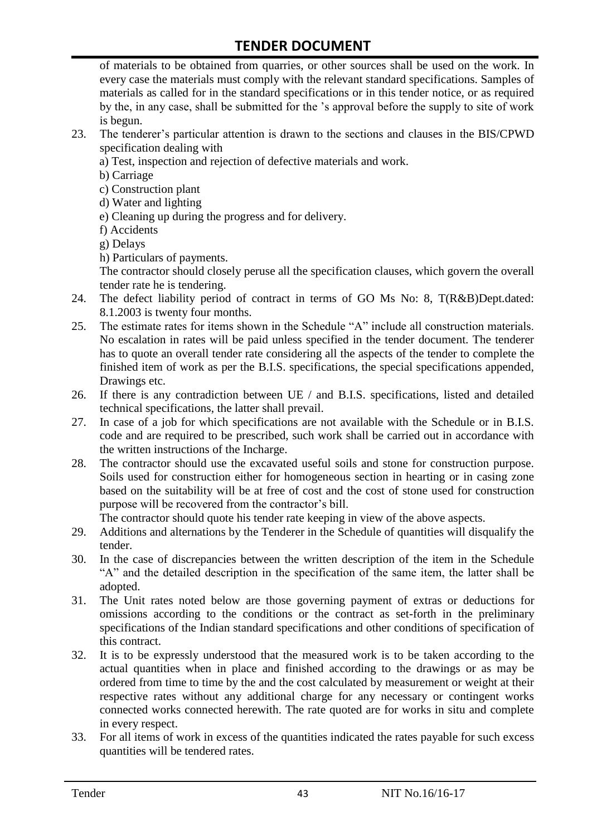of materials to be obtained from quarries, or other sources shall be used on the work. In every case the materials must comply with the relevant standard specifications. Samples of materials as called for in the standard specifications or in this tender notice, or as required by the, in any case, shall be submitted for the "s approval before the supply to site of work is begun.

- 23. The tenderer"s particular attention is drawn to the sections and clauses in the BIS/CPWD specification dealing with
	- a) Test, inspection and rejection of defective materials and work.
	- b) Carriage
	- c) Construction plant
	- d) Water and lighting
	- e) Cleaning up during the progress and for delivery.
	- f) Accidents
	- g) Delays
	- h) Particulars of payments.

The contractor should closely peruse all the specification clauses, which govern the overall tender rate he is tendering.

- 24. The defect liability period of contract in terms of GO Ms No: 8, T(R&B)Dept.dated: 8.1.2003 is twenty four months.
- 25. The estimate rates for items shown in the Schedule "A" include all construction materials. No escalation in rates will be paid unless specified in the tender document. The tenderer has to quote an overall tender rate considering all the aspects of the tender to complete the finished item of work as per the B.I.S. specifications, the special specifications appended, Drawings etc.
- 26. If there is any contradiction between UE / and B.I.S. specifications, listed and detailed technical specifications, the latter shall prevail.
- 27. In case of a job for which specifications are not available with the Schedule or in B.I.S. code and are required to be prescribed, such work shall be carried out in accordance with the written instructions of the Incharge.
- 28. The contractor should use the excavated useful soils and stone for construction purpose. Soils used for construction either for homogeneous section in hearting or in casing zone based on the suitability will be at free of cost and the cost of stone used for construction purpose will be recovered from the contractor's bill.

The contractor should quote his tender rate keeping in view of the above aspects.

- 29. Additions and alternations by the Tenderer in the Schedule of quantities will disqualify the tender.
- 30. In the case of discrepancies between the written description of the item in the Schedule "A" and the detailed description in the specification of the same item, the latter shall be adopted.
- 31. The Unit rates noted below are those governing payment of extras or deductions for omissions according to the conditions or the contract as set-forth in the preliminary specifications of the Indian standard specifications and other conditions of specification of this contract.
- 32. It is to be expressly understood that the measured work is to be taken according to the actual quantities when in place and finished according to the drawings or as may be ordered from time to time by the and the cost calculated by measurement or weight at their respective rates without any additional charge for any necessary or contingent works connected works connected herewith. The rate quoted are for works in situ and complete in every respect.
- 33. For all items of work in excess of the quantities indicated the rates payable for such excess quantities will be tendered rates.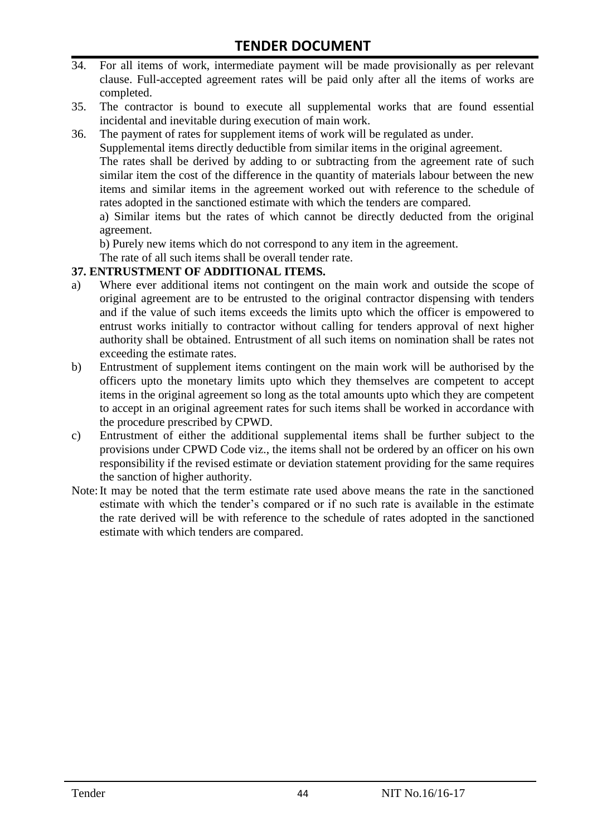- 34. For all items of work, intermediate payment will be made provisionally as per relevant clause. Full-accepted agreement rates will be paid only after all the items of works are completed.
- 35. The contractor is bound to execute all supplemental works that are found essential incidental and inevitable during execution of main work.
- 36. The payment of rates for supplement items of work will be regulated as under.

Supplemental items directly deductible from similar items in the original agreement.

The rates shall be derived by adding to or subtracting from the agreement rate of such similar item the cost of the difference in the quantity of materials labour between the new items and similar items in the agreement worked out with reference to the schedule of rates adopted in the sanctioned estimate with which the tenders are compared.

a) Similar items but the rates of which cannot be directly deducted from the original agreement.

b) Purely new items which do not correspond to any item in the agreement.

The rate of all such items shall be overall tender rate.

#### **37. ENTRUSTMENT OF ADDITIONAL ITEMS.**

- a) Where ever additional items not contingent on the main work and outside the scope of original agreement are to be entrusted to the original contractor dispensing with tenders and if the value of such items exceeds the limits upto which the officer is empowered to entrust works initially to contractor without calling for tenders approval of next higher authority shall be obtained. Entrustment of all such items on nomination shall be rates not exceeding the estimate rates.
- b) Entrustment of supplement items contingent on the main work will be authorised by the officers upto the monetary limits upto which they themselves are competent to accept items in the original agreement so long as the total amounts upto which they are competent to accept in an original agreement rates for such items shall be worked in accordance with the procedure prescribed by CPWD.
- c) Entrustment of either the additional supplemental items shall be further subject to the provisions under CPWD Code viz., the items shall not be ordered by an officer on his own responsibility if the revised estimate or deviation statement providing for the same requires the sanction of higher authority.
- Note:It may be noted that the term estimate rate used above means the rate in the sanctioned estimate with which the tender"s compared or if no such rate is available in the estimate the rate derived will be with reference to the schedule of rates adopted in the sanctioned estimate with which tenders are compared.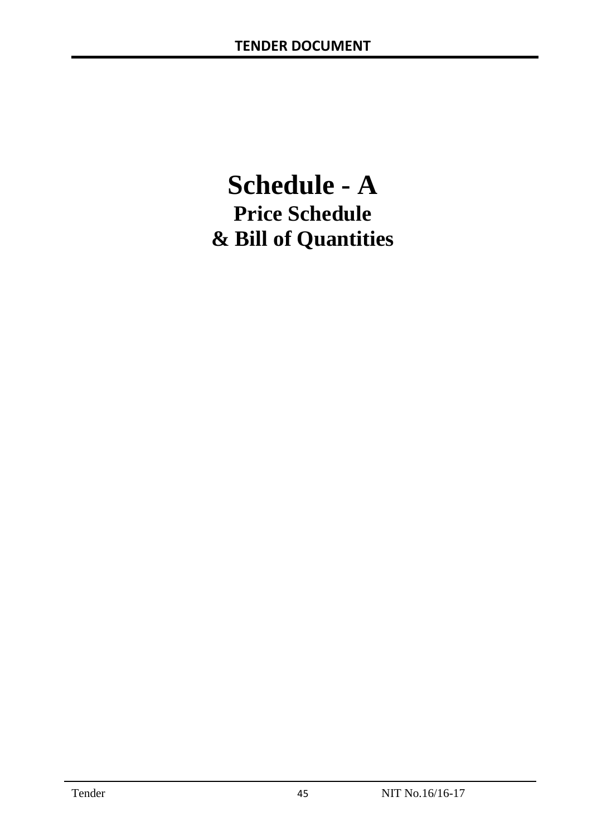# **Schedule - A Price Schedule & Bill of Quantities**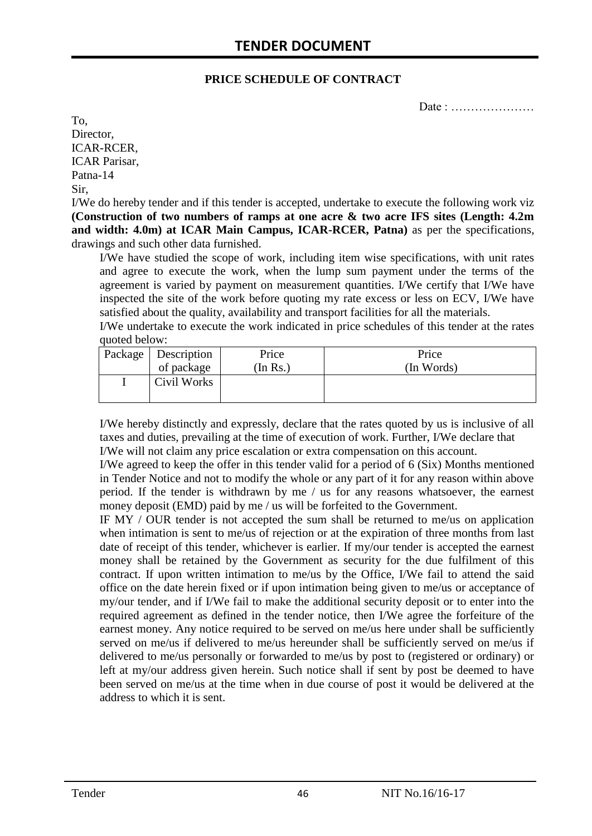#### **PRICE SCHEDULE OF CONTRACT**

Date : …………………

To, Director, ICAR-RCER, ICAR Parisar, Patna-14 Sir,

I/We do hereby tender and if this tender is accepted, undertake to execute the following work viz **(Construction of two numbers of ramps at one acre & two acre IFS sites (Length: 4.2m and width: 4.0m) at ICAR Main Campus, ICAR-RCER, Patna)** as per the specifications, drawings and such other data furnished.

I/We have studied the scope of work, including item wise specifications, with unit rates and agree to execute the work, when the lump sum payment under the terms of the agreement is varied by payment on measurement quantities. I/We certify that I/We have inspected the site of the work before quoting my rate excess or less on ECV, I/We have satisfied about the quality, availability and transport facilities for all the materials.

I/We undertake to execute the work indicated in price schedules of this tender at the rates quoted below:

| Package   Description | Price   | Price      |
|-----------------------|---------|------------|
| of package            | In Rs.) | (In Words) |
| Civil Works           |         |            |

I/We hereby distinctly and expressly, declare that the rates quoted by us is inclusive of all taxes and duties, prevailing at the time of execution of work. Further, I/We declare that I/We will not claim any price escalation or extra compensation on this account.

I/We agreed to keep the offer in this tender valid for a period of 6 (Six) Months mentioned in Tender Notice and not to modify the whole or any part of it for any reason within above period. If the tender is withdrawn by me / us for any reasons whatsoever, the earnest money deposit (EMD) paid by me / us will be forfeited to the Government.

IF MY / OUR tender is not accepted the sum shall be returned to me/us on application when intimation is sent to me/us of rejection or at the expiration of three months from last date of receipt of this tender, whichever is earlier. If my/our tender is accepted the earnest money shall be retained by the Government as security for the due fulfilment of this contract. If upon written intimation to me/us by the Office, I/We fail to attend the said office on the date herein fixed or if upon intimation being given to me/us or acceptance of my/our tender, and if I/We fail to make the additional security deposit or to enter into the required agreement as defined in the tender notice, then I/We agree the forfeiture of the earnest money. Any notice required to be served on me/us here under shall be sufficiently served on me/us if delivered to me/us hereunder shall be sufficiently served on me/us if delivered to me/us personally or forwarded to me/us by post to (registered or ordinary) or left at my/our address given herein. Such notice shall if sent by post be deemed to have been served on me/us at the time when in due course of post it would be delivered at the address to which it is sent.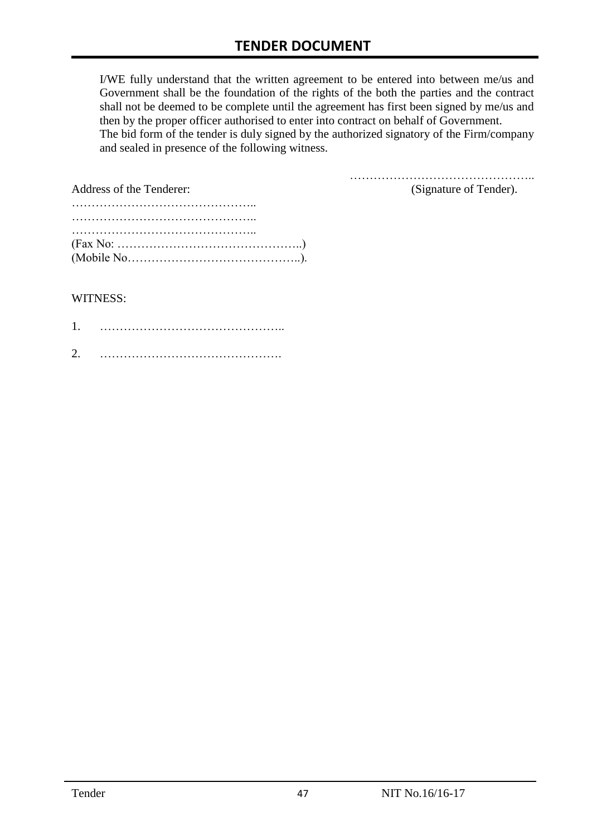I/WE fully understand that the written agreement to be entered into between me/us and Government shall be the foundation of the rights of the both the parties and the contract shall not be deemed to be complete until the agreement has first been signed by me/us and then by the proper officer authorised to enter into contract on behalf of Government. The bid form of the tender is duly signed by the authorized signatory of the Firm/company and sealed in presence of the following witness.

| Address of the Tenderer:                                                                  | (Signature of Tender). |
|-------------------------------------------------------------------------------------------|------------------------|
|                                                                                           |                        |
|                                                                                           |                        |
|                                                                                           |                        |
| $(Fax No: \dots \dots \dots \dots \dots \dots \dots \dots \dots \dots \dots \dots \dots)$ |                        |
|                                                                                           |                        |

#### WITNESS:

| ⌒ |  |
|---|--|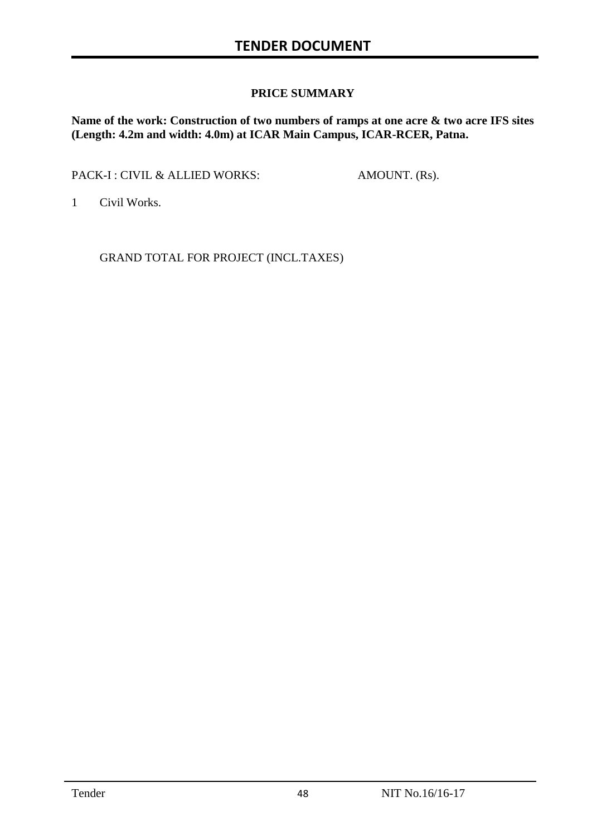#### **PRICE SUMMARY**

**Name of the work: Construction of two numbers of ramps at one acre & two acre IFS sites (Length: 4.2m and width: 4.0m) at ICAR Main Campus, ICAR-RCER, Patna.**

PACK-I : CIVIL & ALLIED WORKS: AMOUNT. (Rs).

1 Civil Works.

GRAND TOTAL FOR PROJECT (INCL.TAXES)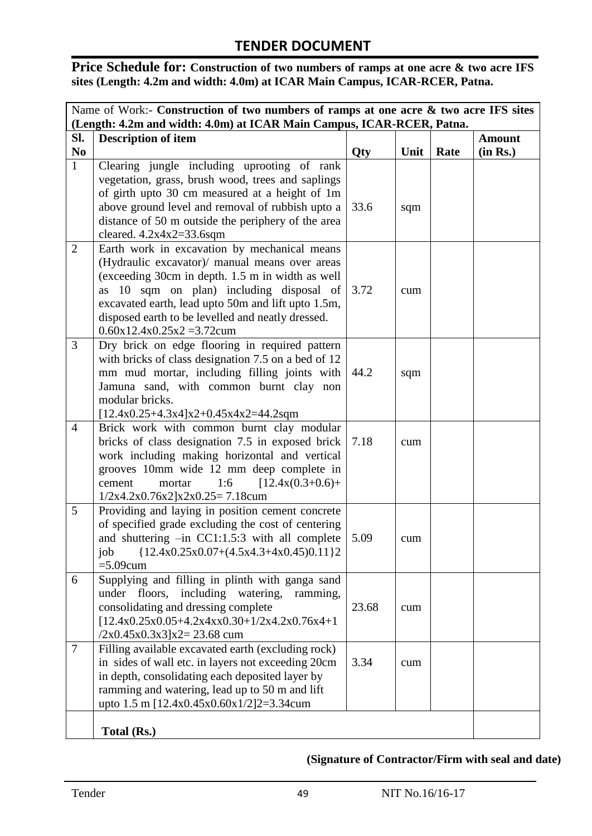Price Schedule for: Construction of two numbers of ramps at one acre & two acre IFS **sites (Length: 4.2m and width: 4.0m) at ICAR Main Campus, ICAR-RCER, Patna.**

|                | Name of Work:- Construction of two numbers of ramps at one acre & two acre IFS sites                 |       |      |      |               |
|----------------|------------------------------------------------------------------------------------------------------|-------|------|------|---------------|
|                | (Length: 4.2m and width: 4.0m) at ICAR Main Campus, ICAR-RCER, Patna.                                |       |      |      |               |
| SI.            | <b>Description of item</b>                                                                           |       |      |      | <b>Amount</b> |
| N <sub>0</sub> |                                                                                                      | Qty   | Unit | Rate | (in Rs.)      |
| $\mathbf{1}$   | Clearing jungle including uprooting of rank                                                          |       |      |      |               |
|                | vegetation, grass, brush wood, trees and saplings                                                    |       |      |      |               |
|                | of girth upto 30 cm measured at a height of 1m                                                       |       |      |      |               |
|                | above ground level and removal of rubbish upto a                                                     | 33.6  | sqm  |      |               |
|                | distance of 50 m outside the periphery of the area                                                   |       |      |      |               |
|                | cleared. $4.2x4x2=33.6sqm$                                                                           |       |      |      |               |
| $\overline{2}$ | Earth work in excavation by mechanical means                                                         |       |      |      |               |
|                | (Hydraulic excavator)/ manual means over areas                                                       |       |      |      |               |
|                | (exceeding 30cm in depth. 1.5 m in width as well                                                     |       |      |      |               |
|                | as 10 sqm on plan) including disposal of                                                             | 3.72  | cum  |      |               |
|                | excavated earth, lead upto 50m and lift upto 1.5m,                                                   |       |      |      |               |
|                | disposed earth to be levelled and neatly dressed.                                                    |       |      |      |               |
|                | $0.60x12.4x0.25x2 = 3.72cum$                                                                         |       |      |      |               |
| 3              | Dry brick on edge flooring in required pattern                                                       |       |      |      |               |
|                | with bricks of class designation 7.5 on a bed of 12                                                  |       |      |      |               |
|                | mm mud mortar, including filling joints with                                                         | 44.2  | sqm  |      |               |
|                | Jamuna sand, with common burnt clay non                                                              |       |      |      |               |
|                | modular bricks.                                                                                      |       |      |      |               |
|                | $[12.4x0.25+4.3x4]x2+0.45x4x2=44.2sqm$                                                               |       |      |      |               |
| $\overline{4}$ | Brick work with common burnt clay modular                                                            |       |      |      |               |
|                | bricks of class designation 7.5 in exposed brick                                                     | 7.18  | cum  |      |               |
|                | work including making horizontal and vertical                                                        |       |      |      |               |
|                | grooves 10mm wide 12 mm deep complete in                                                             |       |      |      |               |
|                | 1:6<br>$[12.4x(0.3+0.6)+$<br>mortar<br>cement                                                        |       |      |      |               |
| 5              | $1/2x4.2x0.76x2[x2x0.25=7.18cum$                                                                     |       |      |      |               |
|                | Providing and laying in position cement concrete                                                     |       |      |      |               |
|                | of specified grade excluding the cost of centering<br>and shuttering -in CC1:1.5:3 with all complete | 5.09  |      |      |               |
|                | job<br>${12.4x0.25x0.07+(4.5x4.3+4x0.45)0.11}$                                                       |       | cum  |      |               |
|                | $=5.09$ cum                                                                                          |       |      |      |               |
| 6              | Supplying and filling in plinth with ganga sand                                                      |       |      |      |               |
|                | including watering,<br>floors,<br>under<br>ramming,                                                  |       |      |      |               |
|                | consolidating and dressing complete                                                                  | 23.68 | cum  |      |               |
|                | $[12.4x0.25x0.05+4.2x4xx0.30+1/2x4.2x0.76x4+1$                                                       |       |      |      |               |
|                | $(2x0.45x0.3x3)x2=23.68$ cum                                                                         |       |      |      |               |
| $\overline{7}$ | Filling available excavated earth (excluding rock)                                                   |       |      |      |               |
|                | in sides of wall etc. in layers not exceeding 20cm                                                   | 3.34  | cum  |      |               |
|                | in depth, consolidating each deposited layer by                                                      |       |      |      |               |
|                | ramming and watering, lead up to 50 m and lift                                                       |       |      |      |               |
|                | upto 1.5 m [ $12.4x0.45x0.60x1/2$ ] $2=3.34c$ cum                                                    |       |      |      |               |
|                |                                                                                                      |       |      |      |               |
|                | Total (Rs.)                                                                                          |       |      |      |               |

## **(Signature of Contractor/Firm with seal and date)**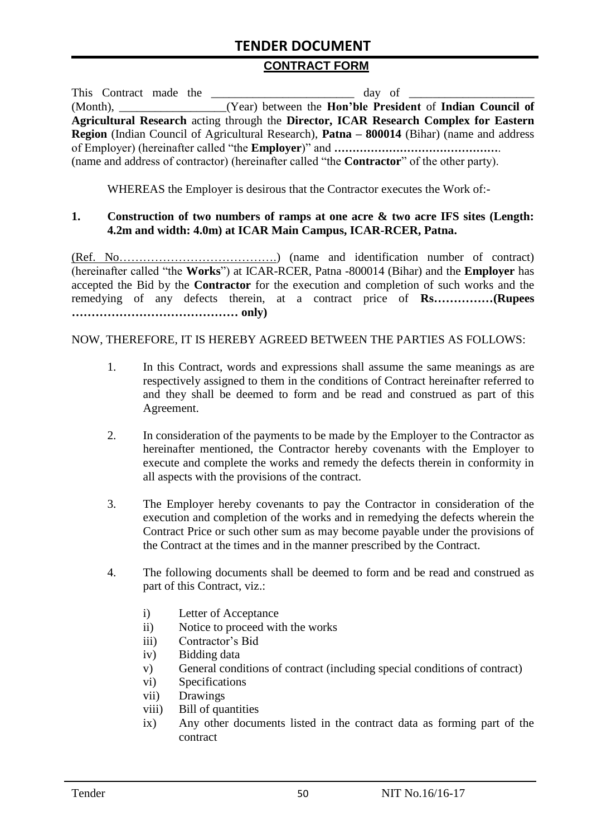#### **CONTRACT FORM**

| This Contract made the |                                                                                                          |
|------------------------|----------------------------------------------------------------------------------------------------------|
|                        | (Month), _______________(Year) between the Hon'ble President of Indian Council of                        |
|                        | Agricultural Research acting through the Director, ICAR Research Complex for Eastern                     |
|                        | <b>Region</b> (Indian Council of Agricultural Research), <b>Patna – 800014</b> (Bihar) (name and address |
|                        |                                                                                                          |
|                        | (name and address of contractor) (hereinafter called "the <b>Contractor</b> " of the other party).       |

WHEREAS the Employer is desirous that the Contractor executes the Work of:-

#### **1. Construction of two numbers of ramps at one acre & two acre IFS sites (Length: 4.2m and width: 4.0m) at ICAR Main Campus, ICAR-RCER, Patna.**

(Ref. No………………………………….) (name and identification number of contract) (hereinafter called "the **Works**") at ICAR-RCER, Patna -800014 (Bihar) and the **Employer** has accepted the Bid by the **Contractor** for the execution and completion of such works and the remedying of any defects therein, at a contract price of **Rs……………(Rupees …………………………………… only)**

#### NOW, THEREFORE, IT IS HEREBY AGREED BETWEEN THE PARTIES AS FOLLOWS:

- 1. In this Contract, words and expressions shall assume the same meanings as are respectively assigned to them in the conditions of Contract hereinafter referred to and they shall be deemed to form and be read and construed as part of this Agreement.
- 2. In consideration of the payments to be made by the Employer to the Contractor as hereinafter mentioned, the Contractor hereby covenants with the Employer to execute and complete the works and remedy the defects therein in conformity in all aspects with the provisions of the contract.
- 3. The Employer hereby covenants to pay the Contractor in consideration of the execution and completion of the works and in remedying the defects wherein the Contract Price or such other sum as may become payable under the provisions of the Contract at the times and in the manner prescribed by the Contract.
- 4. The following documents shall be deemed to form and be read and construed as part of this Contract, viz.:
	- i) Letter of Acceptance
	- ii) Notice to proceed with the works
	- iii) Contractor's Bid
	- iv) Bidding data
	- v) General conditions of contract (including special conditions of contract)
	- vi) Specifications
	- vii) Drawings
	- viii) Bill of quantities
	- ix) Any other documents listed in the contract data as forming part of the contract